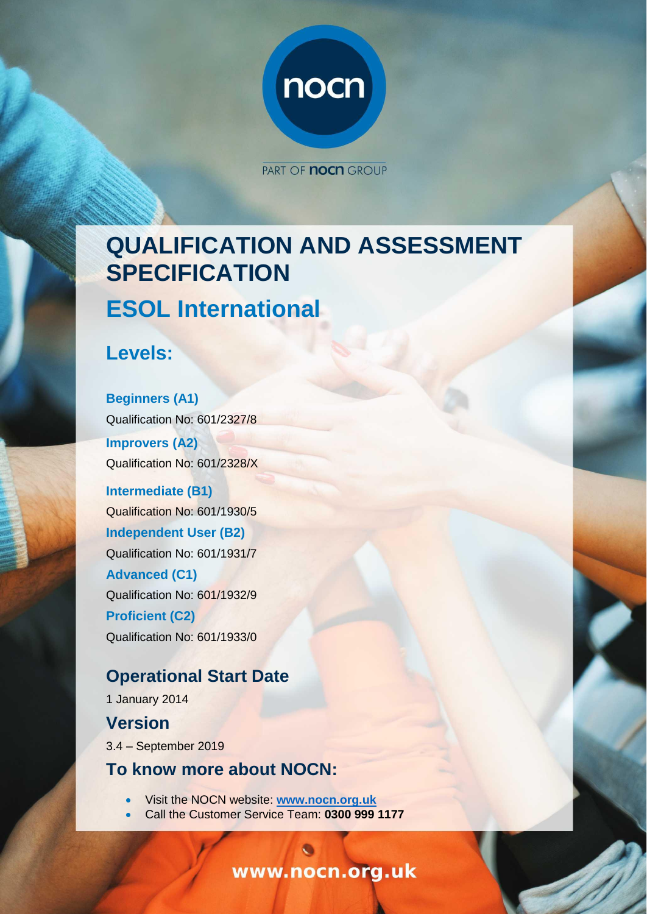

PART OF **nocn** GROUP

# **QUALIFICATION AND ASSESSMENT SPECIFICATION ESOL International**

**Levels:**

**Beginners (A1)** Qualification No: 601/2327/8 **Improvers (A2)** Qualification No: 601/2328/X

**Intermediate (B1)** Qualification No: 601/1930/5 **Independent User (B2)** Qualification No: 601/1931/7 **Advanced (C1)** Qualification No: 601/1932/9 **Proficient (C2)** Qualification No: 601/1933/0

## **Operational Start Date**

1 January 2014 **Version** 3.4 – September 2019

## **To know more about NOCN:**

- Visit the NOCN website: **[www.nocn.org.uk](file:///C:/Users/beverley.scarfe/AppData/Local/Microsoft/Windows/INetCache/Content.Outlook/X5BDULSH/www.nocn.org.uk)**
- Call the Customer Service Team: **0300 999 1177**

www.nocn.org.uk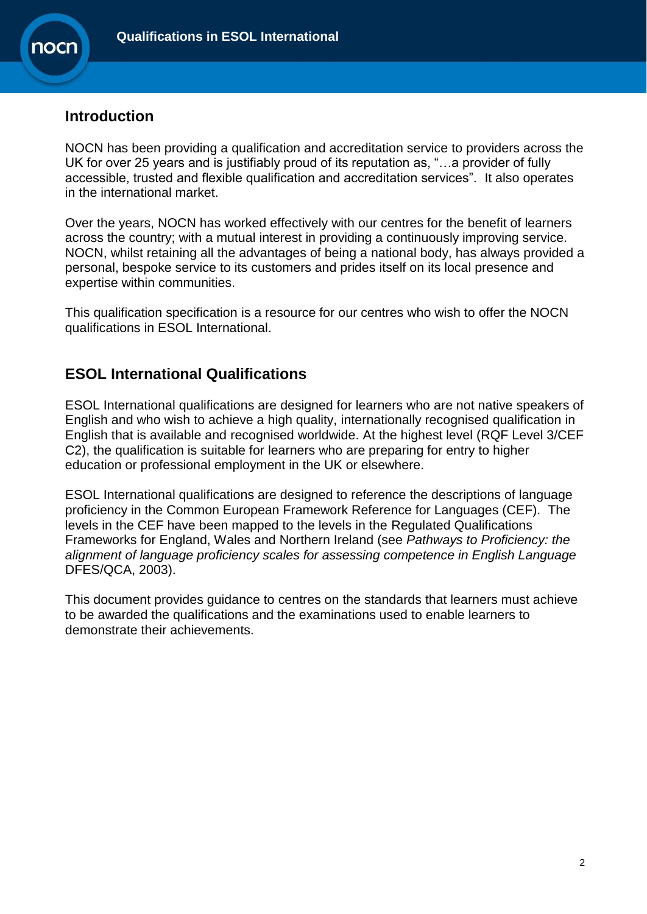

## **Introduction**

NOCN has been providing a qualification and accreditation service to providers across the UK for over 25 years and is justifiably proud of its reputation as, "…a provider of fully accessible, trusted and flexible qualification and accreditation services". It also operates in the international market.

Over the years, NOCN has worked effectively with our centres for the benefit of learners across the country; with a mutual interest in providing a continuously improving service. NOCN, whilst retaining all the advantages of being a national body, has always provided a personal, bespoke service to its customers and prides itself on its local presence and expertise within communities.

This qualification specification is a resource for our centres who wish to offer the NOCN qualifications in ESOL International.

## **ESOL International Qualifications**

ESOL International qualifications are designed for learners who are not native speakers of English and who wish to achieve a high quality, internationally recognised qualification in English that is available and recognised worldwide. At the highest level (RQF Level 3/CEF C2), the qualification is suitable for learners who are preparing for entry to higher education or professional employment in the UK or elsewhere.

ESOL International qualifications are designed to reference the descriptions of language proficiency in the Common European Framework Reference for Languages (CEF). The levels in the CEF have been mapped to the levels in the Regulated Qualifications Frameworks for England, Wales and Northern Ireland (see *Pathways to Proficiency: the alignment of language proficiency scales for assessing competence in English Language*  DFES/QCA, 2003).

This document provides guidance to centres on the standards that learners must achieve to be awarded the qualifications and the examinations used to enable learners to demonstrate their achievements.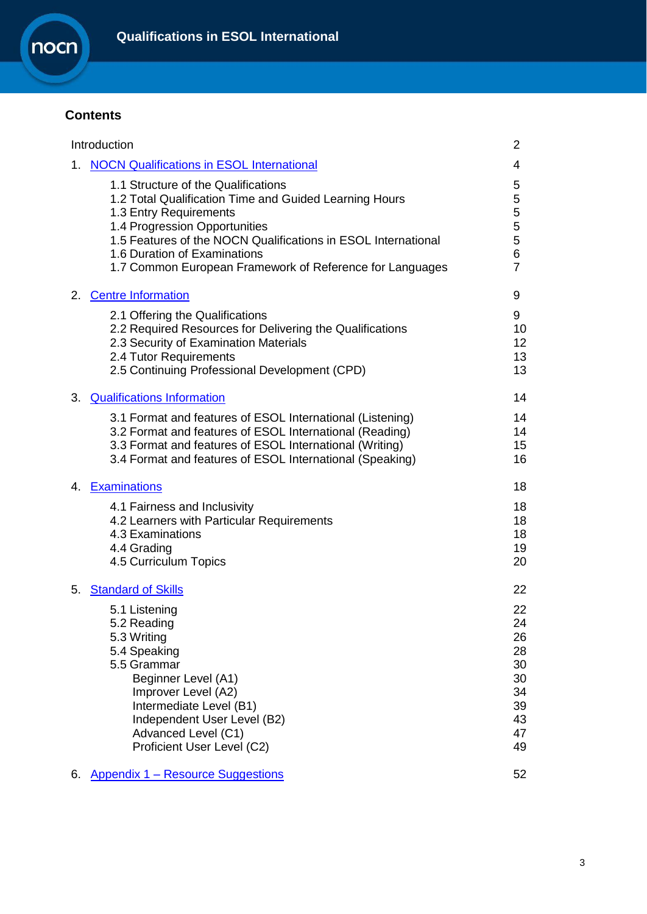

## **Contents**

|    | Introduction                                                                                                                                                                                                                                                                                                          | 2                                                              |
|----|-----------------------------------------------------------------------------------------------------------------------------------------------------------------------------------------------------------------------------------------------------------------------------------------------------------------------|----------------------------------------------------------------|
|    | 1. NOCN Qualifications in ESOL International                                                                                                                                                                                                                                                                          | 4                                                              |
|    | 1.1 Structure of the Qualifications<br>1.2 Total Qualification Time and Guided Learning Hours<br>1.3 Entry Requirements<br>1.4 Progression Opportunities<br>1.5 Features of the NOCN Qualifications in ESOL International<br>1.6 Duration of Examinations<br>1.7 Common European Framework of Reference for Languages | 5<br>5<br>5<br>5<br>5<br>6<br>$\overline{7}$                   |
|    | 2. Centre Information                                                                                                                                                                                                                                                                                                 | 9                                                              |
|    | 2.1 Offering the Qualifications<br>2.2 Required Resources for Delivering the Qualifications<br>2.3 Security of Examination Materials<br>2.4 Tutor Requirements<br>2.5 Continuing Professional Development (CPD)                                                                                                       | 9<br>10<br>12<br>13<br>13                                      |
|    | 3. Qualifications Information                                                                                                                                                                                                                                                                                         | 14                                                             |
|    | 3.1 Format and features of ESOL International (Listening)<br>3.2 Format and features of ESOL International (Reading)<br>3.3 Format and features of ESOL International (Writing)<br>3.4 Format and features of ESOL International (Speaking)                                                                           | 14<br>14<br>15<br>16                                           |
|    | 4. Examinations                                                                                                                                                                                                                                                                                                       | 18                                                             |
|    | 4.1 Fairness and Inclusivity<br>4.2 Learners with Particular Requirements<br>4.3 Examinations<br>4.4 Grading<br>4.5 Curriculum Topics                                                                                                                                                                                 | 18<br>18<br>18<br>19<br>20                                     |
|    | 5. Standard of Skills                                                                                                                                                                                                                                                                                                 | 22                                                             |
|    | 5.1 Listening<br>5.2 Reading<br>5.3 Writing<br>5.4 Speaking<br>5.5 Grammar<br>Beginner Level (A1)<br>Improver Level (A2)<br>Intermediate Level (B1)<br>Independent User Level (B2)<br>Advanced Level (C1)<br>Proficient User Level (C2)                                                                               | 22<br>24<br>26<br>28<br>30<br>30<br>34<br>39<br>43<br>47<br>49 |
| 6. | <b>Appendix 1 – Resource Suggestions</b>                                                                                                                                                                                                                                                                              | 52                                                             |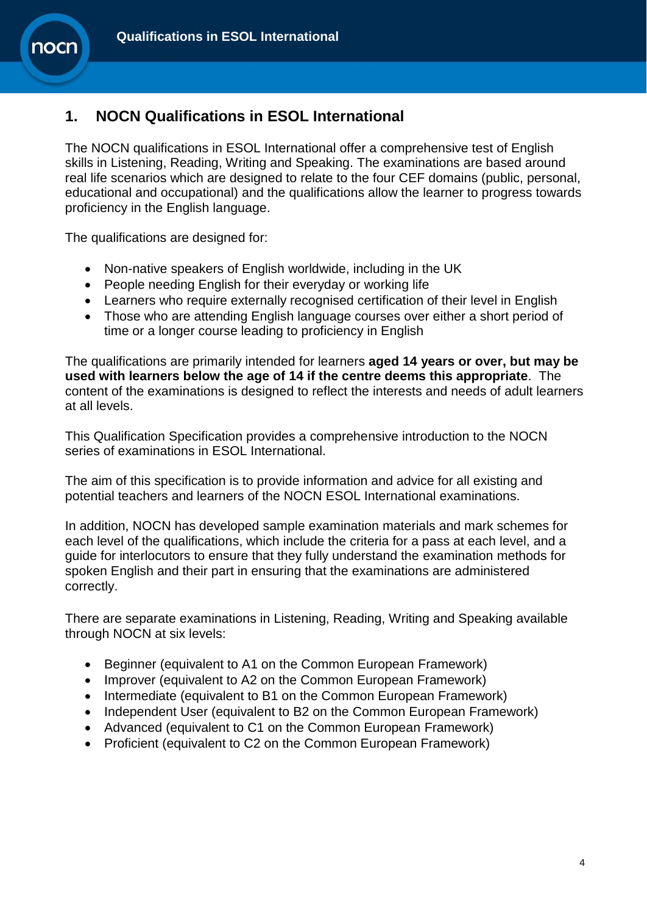## <span id="page-3-0"></span>**1. NOCN Qualifications in ESOL International**

The NOCN qualifications in ESOL International offer a comprehensive test of English skills in Listening, Reading, Writing and Speaking. The examinations are based around real life scenarios which are designed to relate to the four CEF domains (public, personal, educational and occupational) and the qualifications allow the learner to progress towards proficiency in the English language.

The qualifications are designed for:

**10Cl** 

- Non-native speakers of English worldwide, including in the UK
- People needing English for their everyday or working life
- Learners who require externally recognised certification of their level in English
- Those who are attending English language courses over either a short period of time or a longer course leading to proficiency in English

The qualifications are primarily intended for learners **aged 14 years or over, but may be used with learners below the age of 14 if the centre deems this appropriate**. The content of the examinations is designed to reflect the interests and needs of adult learners at all levels.

This Qualification Specification provides a comprehensive introduction to the NOCN series of examinations in ESOL International.

The aim of this specification is to provide information and advice for all existing and potential teachers and learners of the NOCN ESOL International examinations.

In addition, NOCN has developed sample examination materials and mark schemes for each level of the qualifications, which include the criteria for a pass at each level, and a guide for interlocutors to ensure that they fully understand the examination methods for spoken English and their part in ensuring that the examinations are administered correctly.

There are separate examinations in Listening, Reading, Writing and Speaking available through NOCN at six levels:

- Beginner (equivalent to A1 on the Common European Framework)
- Improver (equivalent to A2 on the Common European Framework)
- Intermediate (equivalent to B1 on the Common European Framework)
- Independent User (equivalent to B2 on the Common European Framework)
- Advanced (equivalent to C1 on the Common European Framework)
- Proficient (equivalent to C2 on the Common European Framework)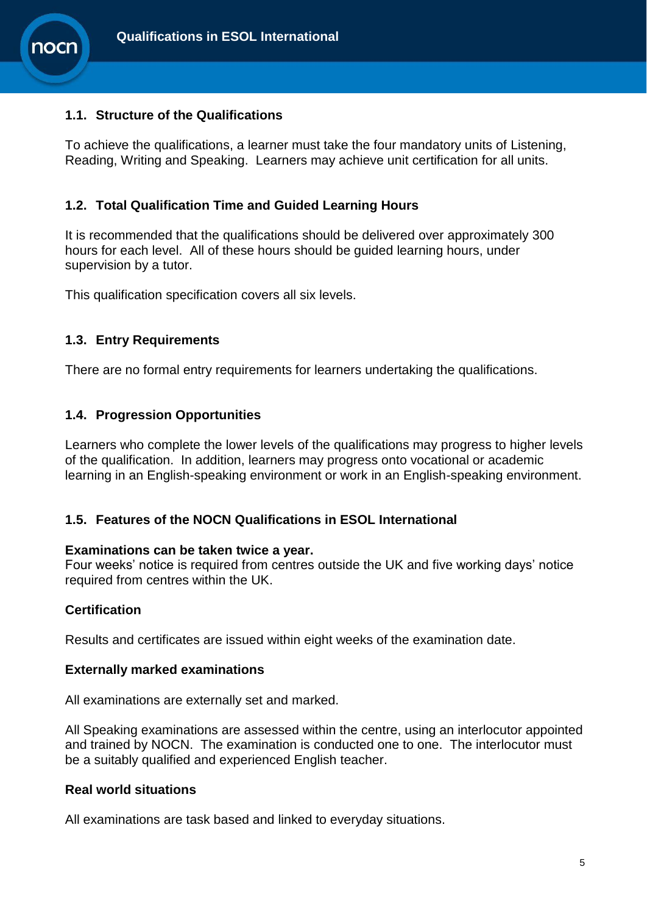

## **1.1. Structure of the Qualifications**

To achieve the qualifications, a learner must take the four mandatory units of Listening, Reading, Writing and Speaking. Learners may achieve unit certification for all units.

## **1.2. Total Qualification Time and Guided Learning Hours**

It is recommended that the qualifications should be delivered over approximately 300 hours for each level. All of these hours should be guided learning hours, under supervision by a tutor.

This qualification specification covers all six levels.

## **1.3. Entry Requirements**

There are no formal entry requirements for learners undertaking the qualifications.

## **1.4. Progression Opportunities**

Learners who complete the lower levels of the qualifications may progress to higher levels of the qualification. In addition, learners may progress onto vocational or academic learning in an English-speaking environment or work in an English-speaking environment.

## **1.5. Features of the NOCN Qualifications in ESOL International**

#### **Examinations can be taken twice a year.**

Four weeks' notice is required from centres outside the UK and five working days' notice required from centres within the UK.

## **Certification**

Results and certificates are issued within eight weeks of the examination date.

## **Externally marked examinations**

All examinations are externally set and marked.

All Speaking examinations are assessed within the centre, using an interlocutor appointed and trained by NOCN. The examination is conducted one to one. The interlocutor must be a suitably qualified and experienced English teacher.

## **Real world situations**

All examinations are task based and linked to everyday situations.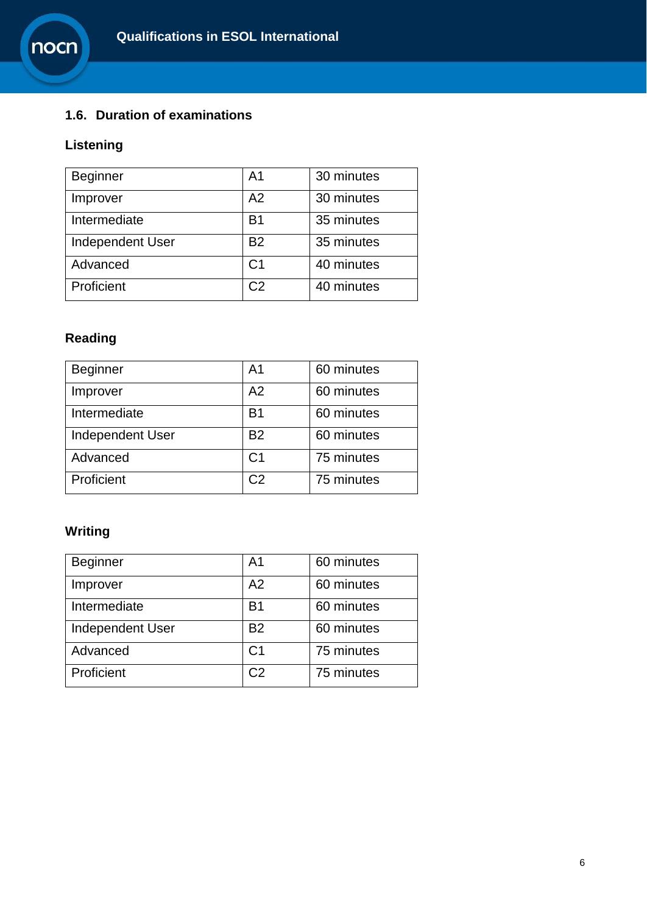

## **1.6. Duration of examinations**

## **Listening**

| <b>Beginner</b>  | A <sub>1</sub> | 30 minutes |
|------------------|----------------|------------|
| Improver         | A2             | 30 minutes |
| Intermediate     | B <sub>1</sub> | 35 minutes |
| Independent User | B <sub>2</sub> | 35 minutes |
| Advanced         | C <sub>1</sub> | 40 minutes |
| Proficient       | C <sub>2</sub> | 40 minutes |

## **Reading**

| Beginner                | A <sub>1</sub> | 60 minutes |
|-------------------------|----------------|------------|
| Improver                | A2             | 60 minutes |
| Intermediate            | <b>B1</b>      | 60 minutes |
| <b>Independent User</b> | <b>B2</b>      | 60 minutes |
| Advanced                | C <sub>1</sub> | 75 minutes |
| Proficient              | C <sub>2</sub> | 75 minutes |

## **Writing**

| <b>Beginner</b>         | A <sub>1</sub> | 60 minutes |
|-------------------------|----------------|------------|
| Improver                | A2             | 60 minutes |
| Intermediate            | <b>B1</b>      | 60 minutes |
| <b>Independent User</b> | <b>B2</b>      | 60 minutes |
| Advanced                | C <sub>1</sub> | 75 minutes |
| Proficient              | C <sub>2</sub> | 75 minutes |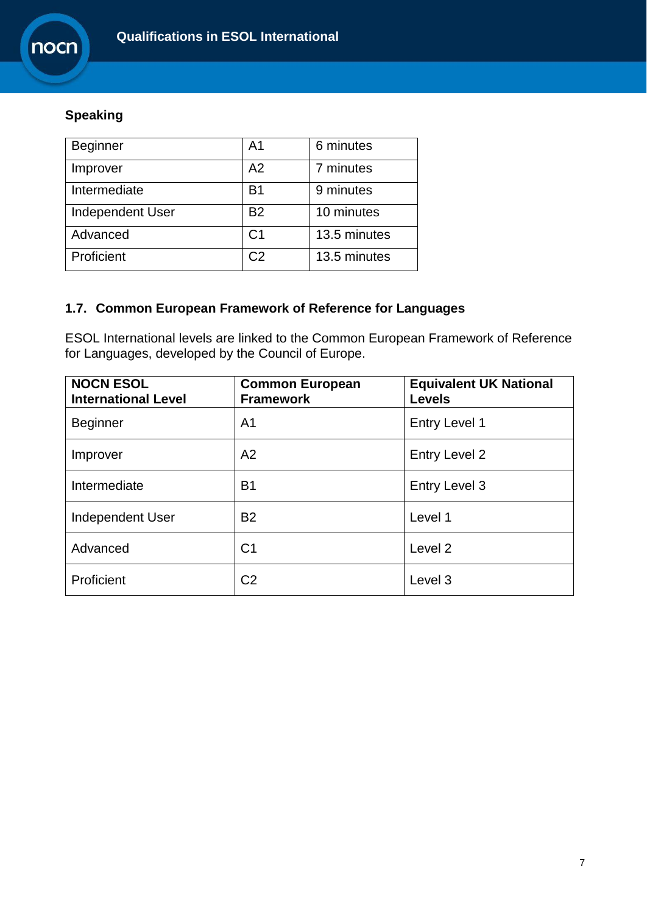## **Speaking**

| <b>Beginner</b>         | A <sub>1</sub> | 6 minutes    |
|-------------------------|----------------|--------------|
| Improver                | A2             | 7 minutes    |
| Intermediate            | B <sub>1</sub> | 9 minutes    |
| <b>Independent User</b> | <b>B2</b>      | 10 minutes   |
| Advanced                | C <sub>1</sub> | 13.5 minutes |
| Proficient              | C <sub>2</sub> | 13.5 minutes |

## **1.7. Common European Framework of Reference for Languages**

ESOL International levels are linked to the Common European Framework of Reference for Languages, developed by the Council of Europe.

| <b>NOCN ESOL</b><br><b>International Level</b> | <b>Common European</b><br><b>Framework</b> | <b>Equivalent UK National</b><br><b>Levels</b> |
|------------------------------------------------|--------------------------------------------|------------------------------------------------|
| <b>Beginner</b>                                | A <sub>1</sub>                             | Entry Level 1                                  |
| Improver                                       | A2                                         | Entry Level 2                                  |
| Intermediate                                   | <b>B1</b>                                  | <b>Entry Level 3</b>                           |
| <b>Independent User</b>                        | <b>B2</b>                                  | Level 1                                        |
| Advanced                                       | C <sub>1</sub>                             | Level <sub>2</sub>                             |
| Proficient                                     | C <sub>2</sub>                             | Level <sub>3</sub>                             |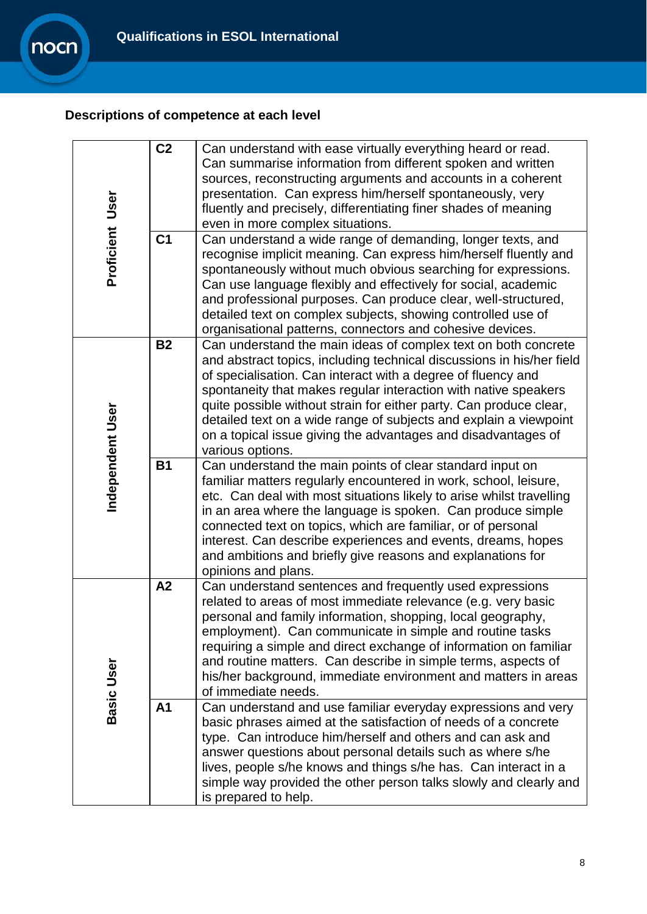## **Descriptions of competence at each level**

nocn

<span id="page-7-0"></span>

|                  | C <sub>2</sub> | Can understand with ease virtually everything heard or read.                          |
|------------------|----------------|---------------------------------------------------------------------------------------|
|                  |                | Can summarise information from different spoken and written                           |
|                  |                | sources, reconstructing arguments and accounts in a coherent                          |
|                  |                | presentation. Can express him/herself spontaneously, very                             |
|                  |                | fluently and precisely, differentiating finer shades of meaning                       |
| Proficient User  |                | even in more complex situations.                                                      |
|                  | C <sub>1</sub> | Can understand a wide range of demanding, longer texts, and                           |
|                  |                | recognise implicit meaning. Can express him/herself fluently and                      |
|                  |                | spontaneously without much obvious searching for expressions.                         |
|                  |                | Can use language flexibly and effectively for social, academic                        |
|                  |                | and professional purposes. Can produce clear, well-structured,                        |
|                  |                | detailed text on complex subjects, showing controlled use of                          |
|                  |                | organisational patterns, connectors and cohesive devices.                             |
|                  | <b>B2</b>      | Can understand the main ideas of complex text on both concrete                        |
|                  |                | and abstract topics, including technical discussions in his/her field                 |
|                  |                | of specialisation. Can interact with a degree of fluency and                          |
|                  |                | spontaneity that makes regular interaction with native speakers                       |
|                  |                | quite possible without strain for either party. Can produce clear,                    |
|                  |                | detailed text on a wide range of subjects and explain a viewpoint                     |
|                  |                |                                                                                       |
|                  |                | on a topical issue giving the advantages and disadvantages of<br>various options.     |
| Independent User | <b>B1</b>      | Can understand the main points of clear standard input on                             |
|                  |                | familiar matters regularly encountered in work, school, leisure,                      |
|                  |                | etc. Can deal with most situations likely to arise whilst travelling                  |
|                  |                | in an area where the language is spoken. Can produce simple                           |
|                  |                | connected text on topics, which are familiar, or of personal                          |
|                  |                | interest. Can describe experiences and events, dreams, hopes                          |
|                  |                | and ambitions and briefly give reasons and explanations for                           |
|                  |                | opinions and plans.                                                                   |
|                  | A2             | Can understand sentences and frequently used expressions                              |
|                  |                | related to areas of most immediate relevance (e.g. very basic                         |
|                  |                | personal and family information, shopping, local geography,                           |
|                  |                | employment). Can communicate in simple and routine tasks                              |
|                  |                | requiring a simple and direct exchange of information on familiar                     |
|                  |                |                                                                                       |
|                  |                | and routine matters. Can describe in simple terms, aspects of                         |
|                  |                | his/her background, immediate environment and matters in areas<br>of immediate needs. |
| Basic User       | A <sub>1</sub> |                                                                                       |
|                  |                | Can understand and use familiar everyday expressions and very                         |
|                  |                | basic phrases aimed at the satisfaction of needs of a concrete                        |
|                  |                | type. Can introduce him/herself and others and can ask and                            |
|                  |                | answer questions about personal details such as where s/he                            |
|                  |                | lives, people s/he knows and things s/he has. Can interact in a                       |
|                  |                | simple way provided the other person talks slowly and clearly and                     |
|                  |                | is prepared to help.                                                                  |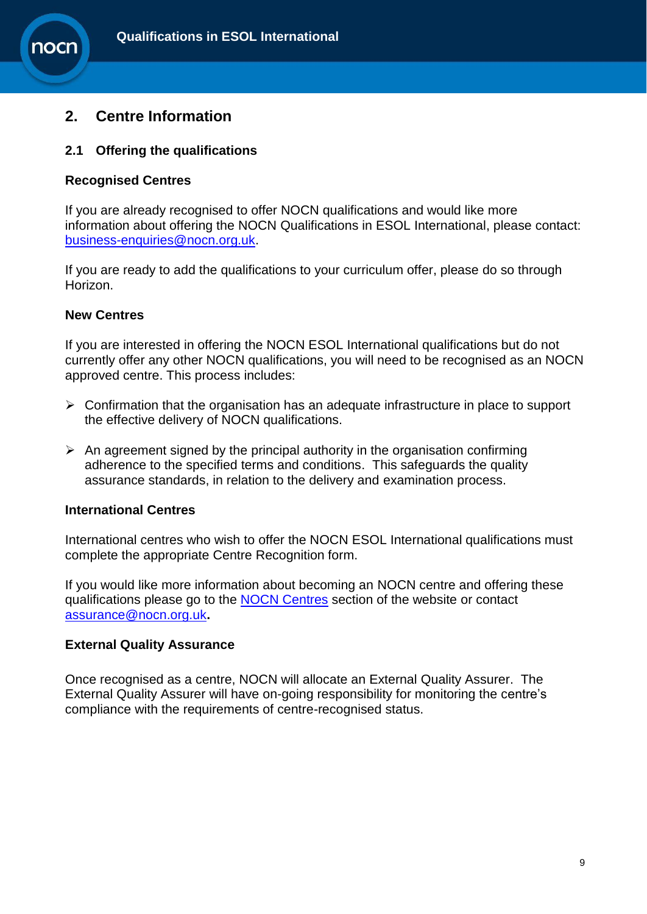



10Cl

## **2. Centre Information**

## **2.1 Offering the qualifications**

### **Recognised Centres**

If you are already recognised to offer NOCN qualifications and would like more information about offering the NOCN Qualifications in ESOL International, please contact: [business-enquiries@nocn.org.uk.](mailto:business-enquiries@nocn.org.uk)

If you are ready to add the qualifications to your curriculum offer, please do so through Horizon.

## **New Centres**

If you are interested in offering the NOCN ESOL International qualifications but do not currently offer any other NOCN qualifications, you will need to be recognised as an NOCN approved centre. This process includes:

- $\triangleright$  Confirmation that the organisation has an adequate infrastructure in place to support the effective delivery of NOCN qualifications.
- $\triangleright$  An agreement signed by the principal authority in the organisation confirming adherence to the specified terms and conditions. This safeguards the quality assurance standards, in relation to the delivery and examination process.

## **International Centres**

International centres who wish to offer the NOCN ESOL International qualifications must complete the appropriate Centre Recognition form.

If you would like more information about becoming an NOCN centre and offering these qualifications please go to the [NOCN Centres](http://www.nocn.org.uk/customers/nocn-centres/) section of the website or contact [assurance@nocn.org.uk](mailto:assurance@nocn.org.uk)**.**

## **External Quality Assurance**

Once recognised as a centre, NOCN will allocate an External Quality Assurer. The External Quality Assurer will have on-going responsibility for monitoring the centre's compliance with the requirements of centre-recognised status.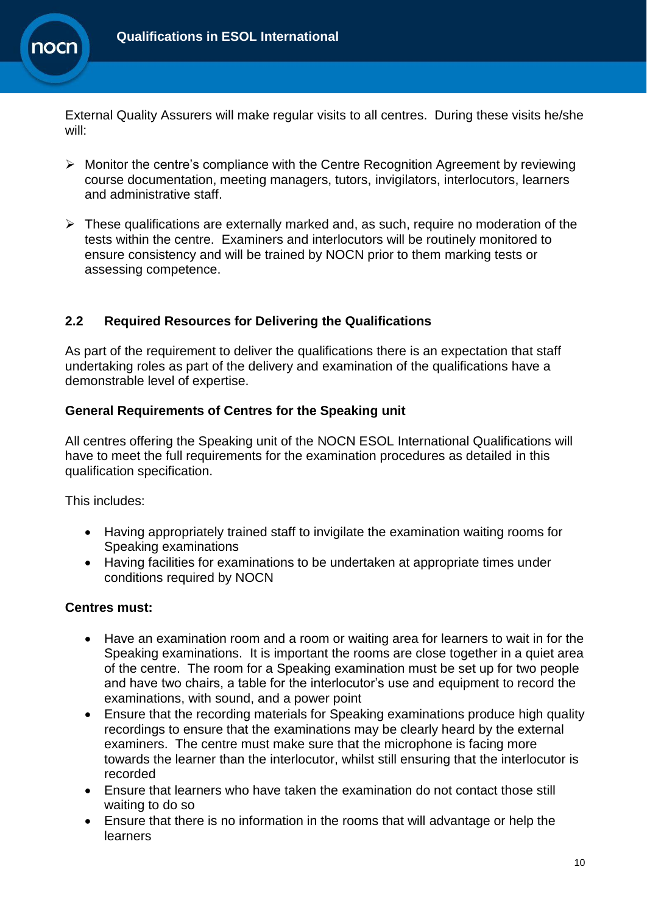

External Quality Assurers will make regular visits to all centres. During these visits he/she will:

- $\triangleright$  Monitor the centre's compliance with the Centre Recognition Agreement by reviewing course documentation, meeting managers, tutors, invigilators, interlocutors, learners and administrative staff.
- $\triangleright$  These qualifications are externally marked and, as such, require no moderation of the tests within the centre. Examiners and interlocutors will be routinely monitored to ensure consistency and will be trained by NOCN prior to them marking tests or assessing competence.

## **2.2 Required Resources for Delivering the Qualifications**

As part of the requirement to deliver the qualifications there is an expectation that staff undertaking roles as part of the delivery and examination of the qualifications have a demonstrable level of expertise.

## **General Requirements of Centres for the Speaking unit**

All centres offering the Speaking unit of the NOCN ESOL International Qualifications will have to meet the full requirements for the examination procedures as detailed in this qualification specification.

This includes:

- Having appropriately trained staff to invigilate the examination waiting rooms for Speaking examinations
- Having facilities for examinations to be undertaken at appropriate times under conditions required by NOCN

## **Centres must:**

- Have an examination room and a room or waiting area for learners to wait in for the Speaking examinations. It is important the rooms are close together in a quiet area of the centre. The room for a Speaking examination must be set up for two people and have two chairs, a table for the interlocutor's use and equipment to record the examinations, with sound, and a power point
- Ensure that the recording materials for Speaking examinations produce high quality recordings to ensure that the examinations may be clearly heard by the external examiners. The centre must make sure that the microphone is facing more towards the learner than the interlocutor, whilst still ensuring that the interlocutor is recorded
- Ensure that learners who have taken the examination do not contact those still waiting to do so
- Ensure that there is no information in the rooms that will advantage or help the learners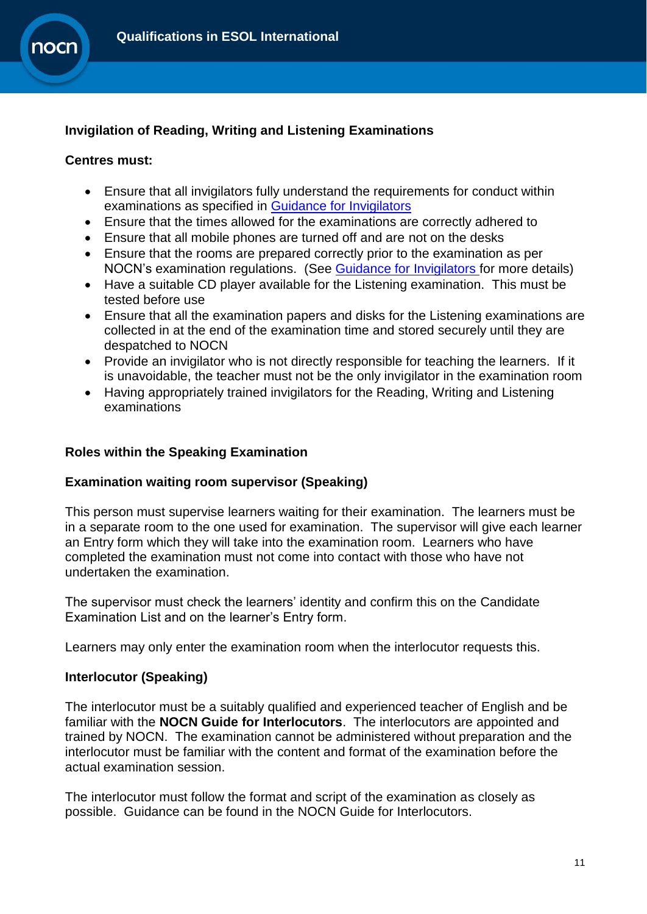

## **Invigilation of Reading, Writing and Listening Examinations**

### **Centres must:**

- Ensure that all invigilators fully understand the requirements for conduct within examinations as specified in [Guidance for Invigilators](http://www.nocn.org.uk/support/quality-assurance/)
- Ensure that the times allowed for the examinations are correctly adhered to
- Ensure that all mobile phones are turned off and are not on the desks
- Ensure that the rooms are prepared correctly prior to the examination as per NOCN's examination regulations. (See [Guidance for Invigilators](http://www.nocn.org.uk/support/quality-assurance/) for more details)
- Have a suitable CD player available for the Listening examination. This must be tested before use
- Ensure that all the examination papers and disks for the Listening examinations are collected in at the end of the examination time and stored securely until they are despatched to NOCN
- Provide an invigilator who is not directly responsible for teaching the learners. If it is unavoidable, the teacher must not be the only invigilator in the examination room
- Having appropriately trained invigilators for the Reading, Writing and Listening examinations

## **Roles within the Speaking Examination**

## **Examination waiting room supervisor (Speaking)**

This person must supervise learners waiting for their examination. The learners must be in a separate room to the one used for examination. The supervisor will give each learner an Entry form which they will take into the examination room. Learners who have completed the examination must not come into contact with those who have not undertaken the examination.

The supervisor must check the learners' identity and confirm this on the Candidate Examination List and on the learner's Entry form.

Learners may only enter the examination room when the interlocutor requests this.

## **Interlocutor (Speaking)**

The interlocutor must be a suitably qualified and experienced teacher of English and be familiar with the **NOCN Guide for Interlocutors**. The interlocutors are appointed and trained by NOCN. The examination cannot be administered without preparation and the interlocutor must be familiar with the content and format of the examination before the actual examination session.

The interlocutor must follow the format and script of the examination as closely as possible. Guidance can be found in the NOCN Guide for Interlocutors.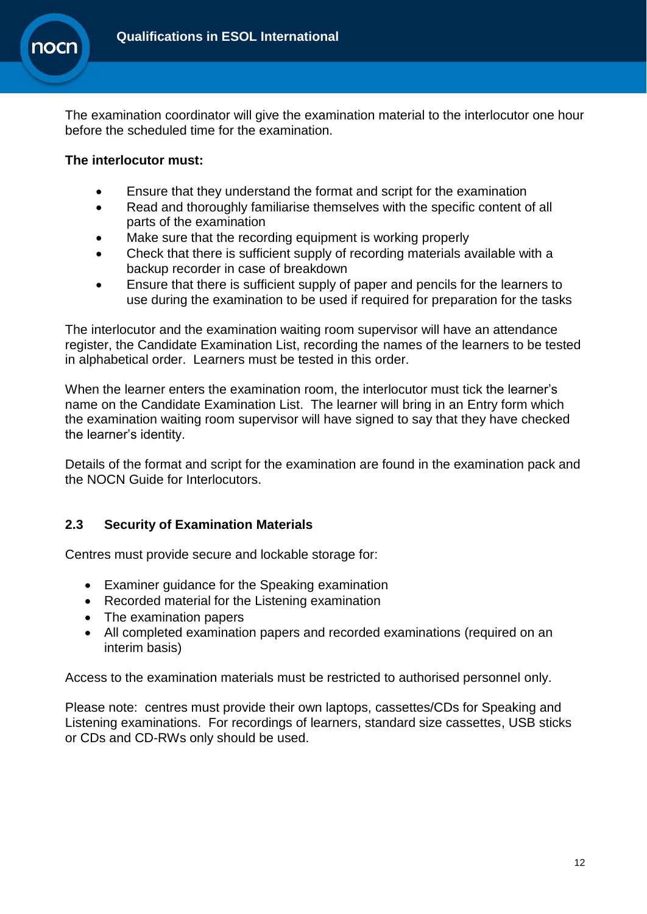

The examination coordinator will give the examination material to the interlocutor one hour before the scheduled time for the examination.

## **The interlocutor must:**

- Ensure that they understand the format and script for the examination
- Read and thoroughly familiarise themselves with the specific content of all parts of the examination
- Make sure that the recording equipment is working properly
- Check that there is sufficient supply of recording materials available with a backup recorder in case of breakdown
- Ensure that there is sufficient supply of paper and pencils for the learners to use during the examination to be used if required for preparation for the tasks

The interlocutor and the examination waiting room supervisor will have an attendance register, the Candidate Examination List, recording the names of the learners to be tested in alphabetical order. Learners must be tested in this order.

When the learner enters the examination room, the interlocutor must tick the learner's name on the Candidate Examination List. The learner will bring in an Entry form which the examination waiting room supervisor will have signed to say that they have checked the learner's identity.

Details of the format and script for the examination are found in the examination pack and the NOCN Guide for Interlocutors.

## **2.3 Security of Examination Materials**

Centres must provide secure and lockable storage for:

- Examiner guidance for the Speaking examination
- Recorded material for the Listening examination
- The examination papers
- All completed examination papers and recorded examinations (required on an interim basis)

Access to the examination materials must be restricted to authorised personnel only.

Please note: centres must provide their own laptops, cassettes/CDs for Speaking and Listening examinations. For recordings of learners, standard size cassettes, USB sticks or CDs and CD-RWs only should be used.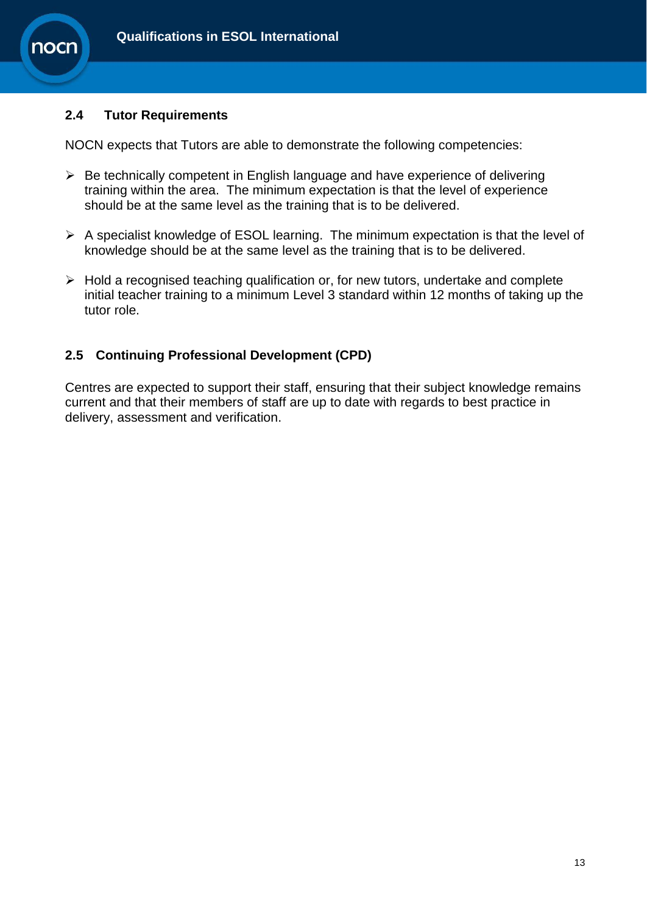

## **2.4 Tutor Requirements**

NOCN expects that Tutors are able to demonstrate the following competencies:

- $\triangleright$  Be technically competent in English language and have experience of delivering training within the area. The minimum expectation is that the level of experience should be at the same level as the training that is to be delivered.
- $\triangleright$  A specialist knowledge of ESOL learning. The minimum expectation is that the level of knowledge should be at the same level as the training that is to be delivered.
- $\triangleright$  Hold a recognised teaching qualification or, for new tutors, undertake and complete initial teacher training to a minimum Level 3 standard within 12 months of taking up the tutor role.

## **2.5 Continuing Professional Development (CPD)**

Centres are expected to support their staff, ensuring that their subject knowledge remains current and that their members of staff are up to date with regards to best practice in delivery, assessment and verification.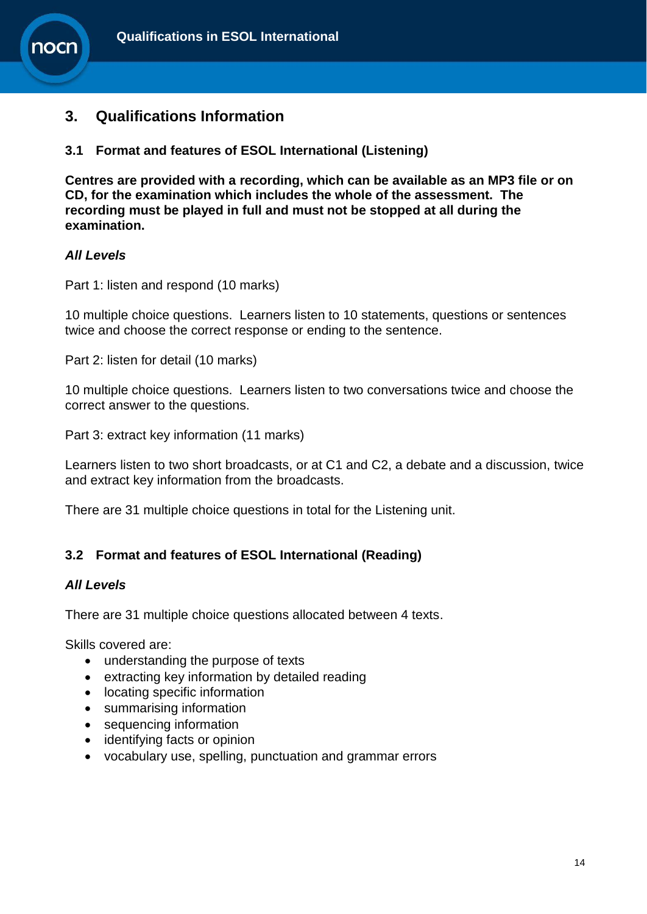



## <span id="page-13-0"></span>**3. Qualifications Information**

**3.1 Format and features of ESOL International (Listening)**

**Centres are provided with a recording, which can be available as an MP3 file or on CD, for the examination which includes the whole of the assessment. The recording must be played in full and must not be stopped at all during the examination.**

#### *All Levels*

Part 1: listen and respond (10 marks)

10 multiple choice questions. Learners listen to 10 statements, questions or sentences twice and choose the correct response or ending to the sentence.

Part 2: listen for detail (10 marks)

10 multiple choice questions. Learners listen to two conversations twice and choose the correct answer to the questions.

Part 3: extract key information (11 marks)

Learners listen to two short broadcasts, or at C1 and C2, a debate and a discussion, twice and extract key information from the broadcasts.

There are 31 multiple choice questions in total for the Listening unit.

## **3.2 Format and features of ESOL International (Reading)**

#### *All Levels*

There are 31 multiple choice questions allocated between 4 texts.

Skills covered are:

- understanding the purpose of texts
- extracting key information by detailed reading
- locating specific information
- summarising information
- sequencing information
- identifying facts or opinion
- vocabulary use, spelling, punctuation and grammar errors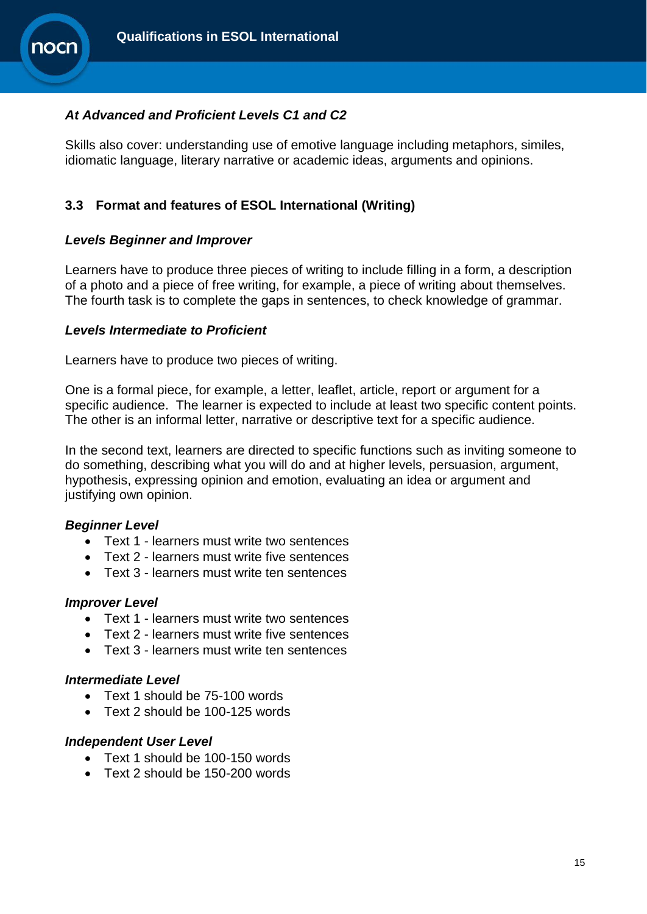

## *At Advanced and Proficient Levels C1 and C2*

Skills also cover: understanding use of emotive language including metaphors, similes, idiomatic language, literary narrative or academic ideas, arguments and opinions.

## **3.3 Format and features of ESOL International (Writing)**

## *Levels Beginner and Improver*

Learners have to produce three pieces of writing to include filling in a form, a description of a photo and a piece of free writing, for example, a piece of writing about themselves. The fourth task is to complete the gaps in sentences, to check knowledge of grammar.

#### *Levels Intermediate to Proficient*

Learners have to produce two pieces of writing.

One is a formal piece, for example, a letter, leaflet, article, report or argument for a specific audience. The learner is expected to include at least two specific content points. The other is an informal letter, narrative or descriptive text for a specific audience.

In the second text, learners are directed to specific functions such as inviting someone to do something, describing what you will do and at higher levels, persuasion, argument, hypothesis, expressing opinion and emotion, evaluating an idea or argument and justifying own opinion.

## *Beginner Level*

- Text 1 learners must write two sentences
- Text 2 learners must write five sentences
- Text 3 learners must write ten sentences

#### *Improver Level*

- Text 1 learners must write two sentences
- Text 2 learners must write five sentences
- Text 3 learners must write ten sentences

#### *Intermediate Level*

- Text 1 should be 75-100 words
- Text 2 should be 100-125 words

## *Independent User Level*

- Text 1 should be 100-150 words
- Text 2 should be 150-200 words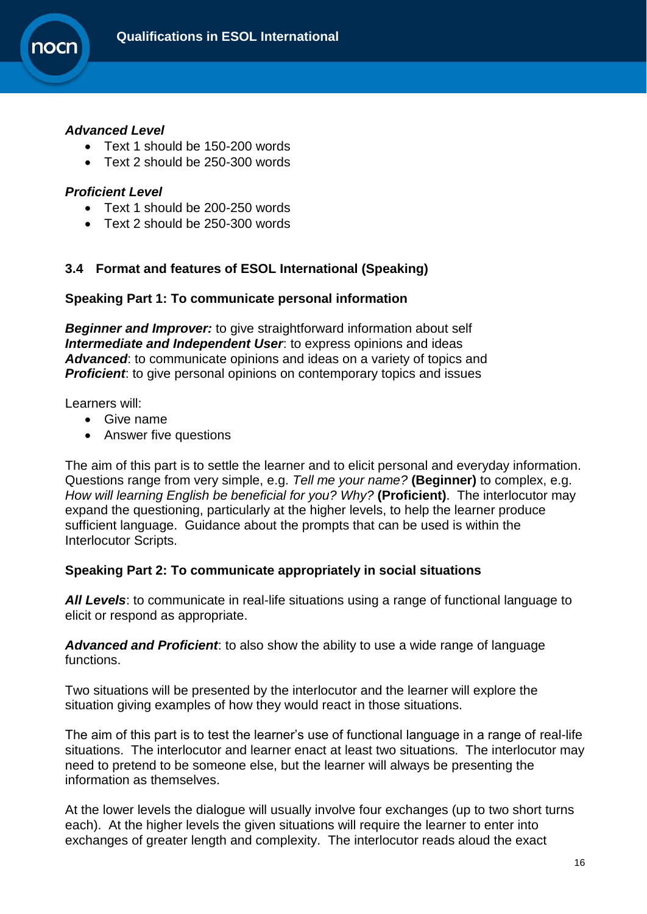

#### *Advanced Level*

- Text 1 should be 150-200 words
- Text 2 should be 250-300 words

#### *Proficient Level*

- Text 1 should be 200-250 words
- Text 2 should be 250-300 words

## **3.4 Format and features of ESOL International (Speaking)**

#### **Speaking Part 1: To communicate personal information**

*Beginner and Improver:* to give straightforward information about self *Intermediate and Independent User*: to express opinions and ideas *Advanced*: to communicate opinions and ideas on a variety of topics and **Proficient**: to give personal opinions on contemporary topics and issues

Learners will:

- Give name
- Answer five questions

The aim of this part is to settle the learner and to elicit personal and everyday information. Questions range from very simple, e.g. *Tell me your name?* **(Beginner)** to complex, e.g. *How will learning English be beneficial for you? Why?* **(Proficient)**. The interlocutor may expand the questioning, particularly at the higher levels, to help the learner produce sufficient language. Guidance about the prompts that can be used is within the Interlocutor Scripts.

## **Speaking Part 2: To communicate appropriately in social situations**

*All Levels*: to communicate in real-life situations using a range of functional language to elicit or respond as appropriate.

*Advanced and Proficient*: to also show the ability to use a wide range of language functions.

Two situations will be presented by the interlocutor and the learner will explore the situation giving examples of how they would react in those situations.

The aim of this part is to test the learner's use of functional language in a range of real-life situations. The interlocutor and learner enact at least two situations. The interlocutor may need to pretend to be someone else, but the learner will always be presenting the information as themselves.

At the lower levels the dialogue will usually involve four exchanges (up to two short turns each). At the higher levels the given situations will require the learner to enter into exchanges of greater length and complexity. The interlocutor reads aloud the exact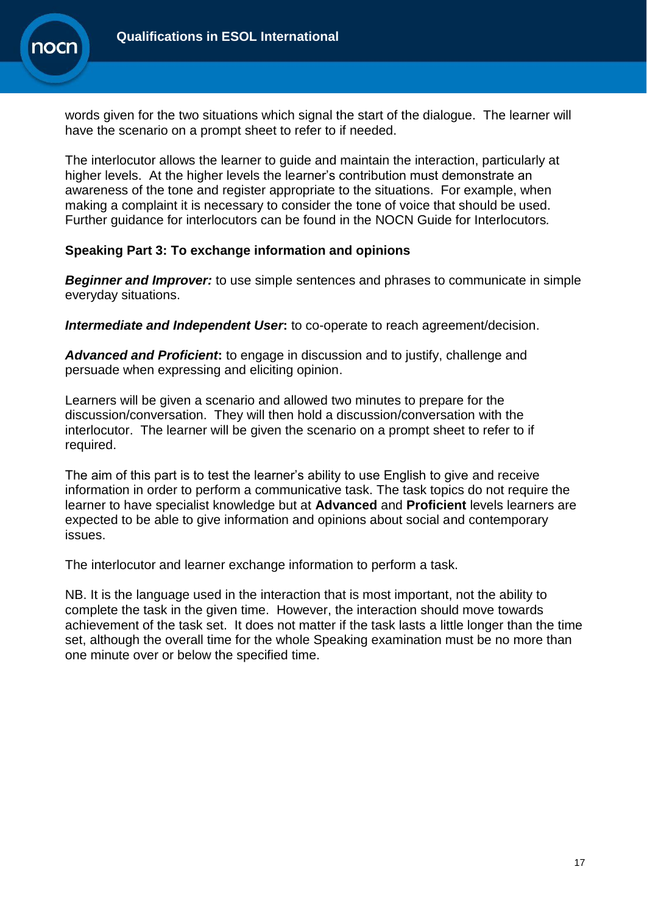

words given for the two situations which signal the start of the dialogue. The learner will have the scenario on a prompt sheet to refer to if needed.

The interlocutor allows the learner to guide and maintain the interaction, particularly at higher levels. At the higher levels the learner's contribution must demonstrate an awareness of the tone and register appropriate to the situations. For example, when making a complaint it is necessary to consider the tone of voice that should be used. Further guidance for interlocutors can be found in the NOCN Guide for Interlocutors*.*

## **Speaking Part 3: To exchange information and opinions**

*Beginner and Improver:* to use simple sentences and phrases to communicate in simple everyday situations.

**Intermediate and Independent User:** to co-operate to reach agreement/decision.

*Advanced and Proficient***:** to engage in discussion and to justify, challenge and persuade when expressing and eliciting opinion.

Learners will be given a scenario and allowed two minutes to prepare for the discussion/conversation. They will then hold a discussion/conversation with the interlocutor. The learner will be given the scenario on a prompt sheet to refer to if required.

The aim of this part is to test the learner's ability to use English to give and receive information in order to perform a communicative task. The task topics do not require the learner to have specialist knowledge but at **Advanced** and **Proficient** levels learners are expected to be able to give information and opinions about social and contemporary issues.

The interlocutor and learner exchange information to perform a task.

NB. It is the language used in the interaction that is most important, not the ability to complete the task in the given time. However, the interaction should move towards achievement of the task set. It does not matter if the task lasts a little longer than the time set, although the overall time for the whole Speaking examination must be no more than one minute over or below the specified time.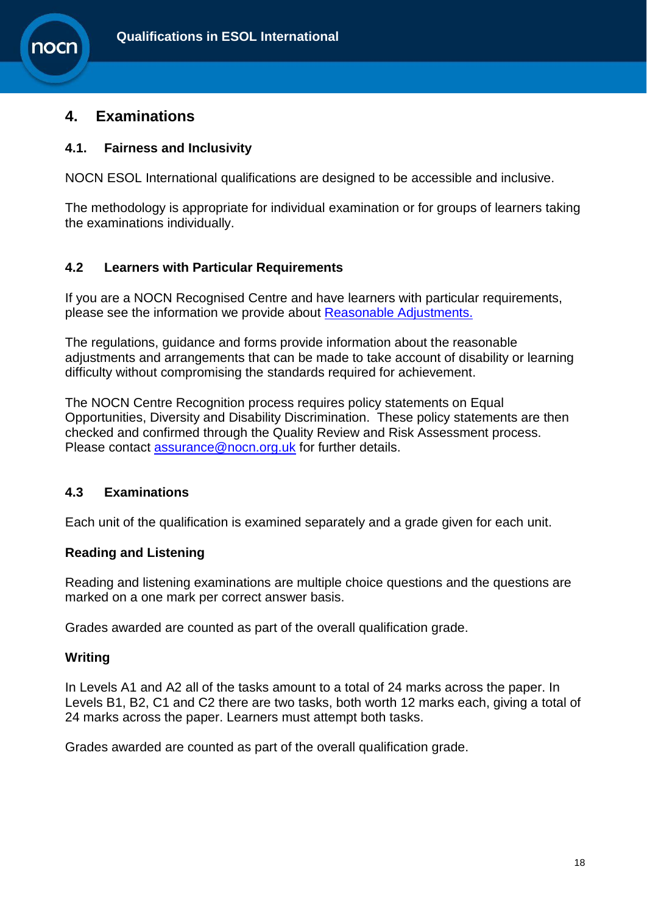## <span id="page-17-0"></span>**4. Examinations**

10Cl

## **4.1. Fairness and Inclusivity**

NOCN ESOL International qualifications are designed to be accessible and inclusive.

The methodology is appropriate for individual examination or for groups of learners taking the examinations individually.

## **4.2 Learners with Particular Requirements**

If you are a NOCN Recognised Centre and have learners with particular requirements, please see the information we provide about [Reasonable Adjustments.](http://www.nocn.org.uk/what-we-do/esol-skills-for-life-and-international/esol-international/)

The regulations, guidance and forms provide information about the reasonable adjustments and arrangements that can be made to take account of disability or learning difficulty without compromising the standards required for achievement.

The NOCN Centre Recognition process requires policy statements on Equal Opportunities, Diversity and Disability Discrimination. These policy statements are then checked and confirmed through the Quality Review and Risk Assessment process. Please contact [assurance@nocn.org.uk](mailto:assurance@nocn.org.uk) for further details.

## **4.3 Examinations**

Each unit of the qualification is examined separately and a grade given for each unit.

## **Reading and Listening**

Reading and listening examinations are multiple choice questions and the questions are marked on a one mark per correct answer basis.

Grades awarded are counted as part of the overall qualification grade.

## **Writing**

In Levels A1 and A2 all of the tasks amount to a total of 24 marks across the paper. In Levels B1, B2, C1 and C2 there are two tasks, both worth 12 marks each, giving a total of 24 marks across the paper. Learners must attempt both tasks.

Grades awarded are counted as part of the overall qualification grade.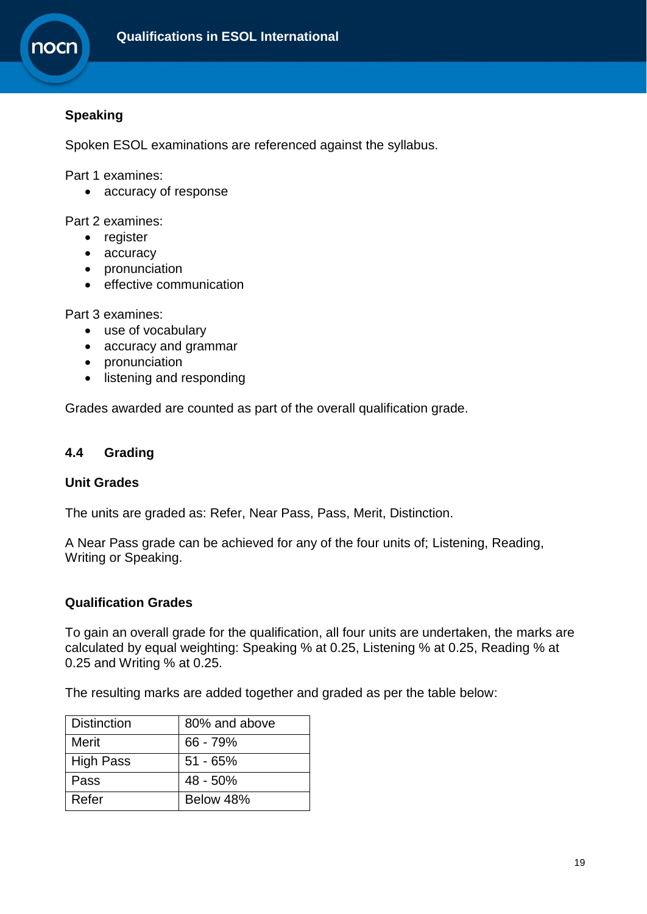

## **Speaking**

Spoken ESOL examinations are referenced against the syllabus.

Part 1 examines:

• accuracy of response

Part 2 examines:

- register
- accuracy
- pronunciation
- effective communication

Part 3 examines:

- use of vocabulary
- accuracy and grammar
- pronunciation
- listening and responding

Grades awarded are counted as part of the overall qualification grade.

#### **4.4 Grading**

## **Unit Grades**

The units are graded as: Refer, Near Pass, Pass, Merit, Distinction.

A Near Pass grade can be achieved for any of the four units of; Listening, Reading, Writing or Speaking.

#### **Qualification Grades**

To gain an overall grade for the qualification, all four units are undertaken, the marks are calculated by equal weighting: Speaking % at 0.25, Listening % at 0.25, Reading % at 0.25 and Writing % at 0.25.

The resulting marks are added together and graded as per the table below:

| <b>Distinction</b> | 80% and above |
|--------------------|---------------|
| <b>Merit</b>       | 66 - 79%      |
| <b>High Pass</b>   | $51 - 65%$    |
| Pass               | 48 - 50%      |
| Refer              | Below 48%     |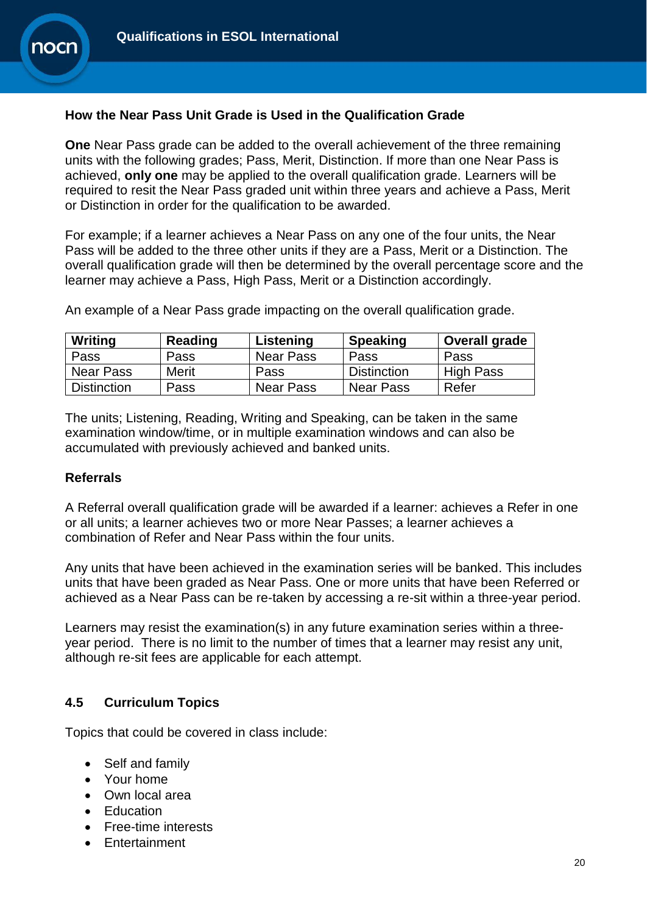## **How the Near Pass Unit Grade is Used in the Qualification Grade**

**One** Near Pass grade can be added to the overall achievement of the three remaining units with the following grades; Pass, Merit, Distinction. If more than one Near Pass is achieved, **only one** may be applied to the overall qualification grade. Learners will be required to resit the Near Pass graded unit within three years and achieve a Pass, Merit or Distinction in order for the qualification to be awarded.

For example; if a learner achieves a Near Pass on any one of the four units, the Near Pass will be added to the three other units if they are a Pass, Merit or a Distinction. The overall qualification grade will then be determined by the overall percentage score and the learner may achieve a Pass, High Pass, Merit or a Distinction accordingly.

| Writing   | Reading | Listening        | <b>Speaking</b>    | Overall grade    |
|-----------|---------|------------------|--------------------|------------------|
| Pass      | Pass    | <b>Near Pass</b> | Pass               | Pass             |
| Near Pass | Merit   | Pass             | <b>Distinction</b> | <b>High Pass</b> |

An example of a Near Pass grade impacting on the overall qualification grade.

The units; Listening, Reading, Writing and Speaking, can be taken in the same examination window/time, or in multiple examination windows and can also be accumulated with previously achieved and banked units.

Distinction | Pass | Near Pass | Near Pass | Refer

#### **Referrals**

A Referral overall qualification grade will be awarded if a learner: achieves a Refer in one or all units; a learner achieves two or more Near Passes; a learner achieves a combination of Refer and Near Pass within the four units.

Any units that have been achieved in the examination series will be banked. This includes units that have been graded as Near Pass. One or more units that have been Referred or achieved as a Near Pass can be re-taken by accessing a re-sit within a three-year period.

Learners may resist the examination(s) in any future examination series within a threeyear period. There is no limit to the number of times that a learner may resist any unit, although re-sit fees are applicable for each attempt.

## **4.5 Curriculum Topics**

Topics that could be covered in class include:

- Self and family
- Your home
- Own local area
- **Education**
- Free-time interests
- Entertainment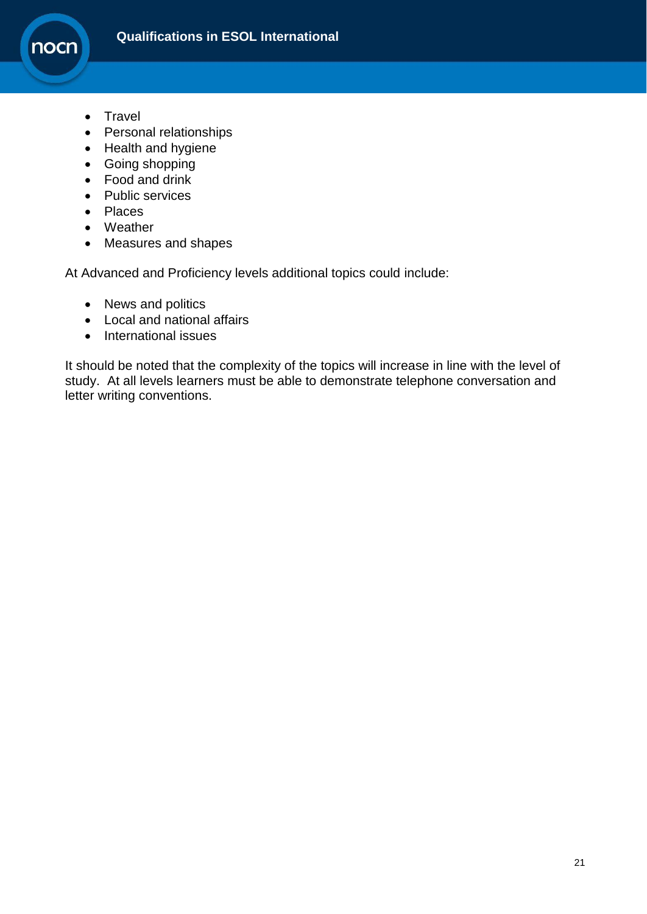

- Travel
- Personal relationships
- Health and hygiene
- Going shopping
- Food and drink
- Public services
- Places
- Weather
- Measures and shapes

At Advanced and Proficiency levels additional topics could include:

- News and politics
- Local and national affairs
- International issues

It should be noted that the complexity of the topics will increase in line with the level of study. At all levels learners must be able to demonstrate telephone conversation and letter writing conventions.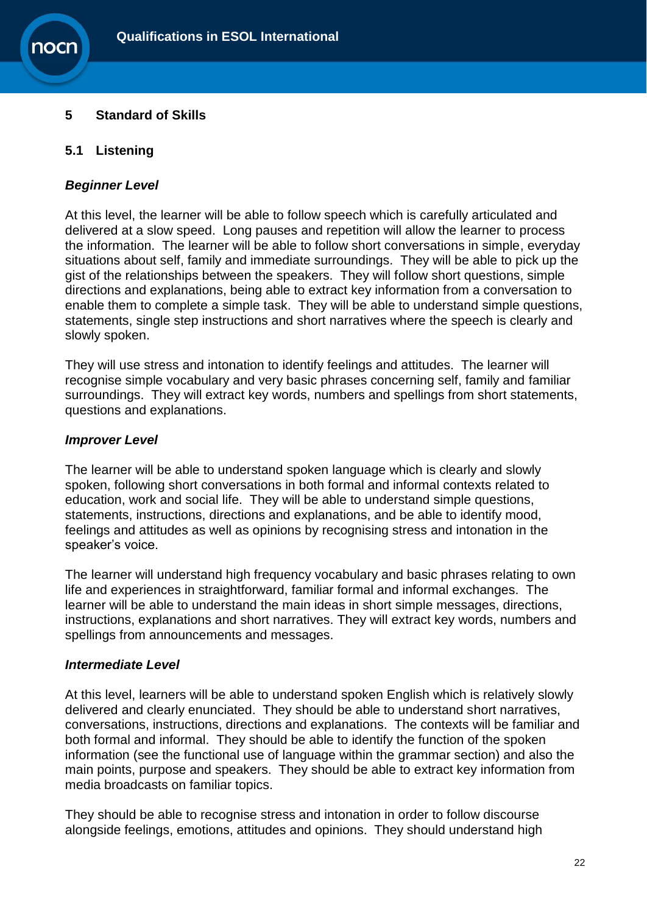## <span id="page-21-0"></span>**5 Standard of Skills**

## **5.1 Listening**

#### *Beginner Level*

At this level, the learner will be able to follow speech which is carefully articulated and delivered at a slow speed. Long pauses and repetition will allow the learner to process the information. The learner will be able to follow short conversations in simple, everyday situations about self, family and immediate surroundings. They will be able to pick up the gist of the relationships between the speakers. They will follow short questions, simple directions and explanations, being able to extract key information from a conversation to enable them to complete a simple task. They will be able to understand simple questions, statements, single step instructions and short narratives where the speech is clearly and slowly spoken.

They will use stress and intonation to identify feelings and attitudes. The learner will recognise simple vocabulary and very basic phrases concerning self, family and familiar surroundings. They will extract key words, numbers and spellings from short statements, questions and explanations.

#### *Improver Level*

The learner will be able to understand spoken language which is clearly and slowly spoken, following short conversations in both formal and informal contexts related to education, work and social life. They will be able to understand simple questions, statements, instructions, directions and explanations, and be able to identify mood, feelings and attitudes as well as opinions by recognising stress and intonation in the speaker's voice.

The learner will understand high frequency vocabulary and basic phrases relating to own life and experiences in straightforward, familiar formal and informal exchanges. The learner will be able to understand the main ideas in short simple messages, directions, instructions, explanations and short narratives. They will extract key words, numbers and spellings from announcements and messages.

#### *Intermediate Level*

At this level, learners will be able to understand spoken English which is relatively slowly delivered and clearly enunciated. They should be able to understand short narratives, conversations, instructions, directions and explanations. The contexts will be familiar and both formal and informal. They should be able to identify the function of the spoken information (see the functional use of language within the grammar section) and also the main points, purpose and speakers. They should be able to extract key information from media broadcasts on familiar topics.

They should be able to recognise stress and intonation in order to follow discourse alongside feelings, emotions, attitudes and opinions. They should understand high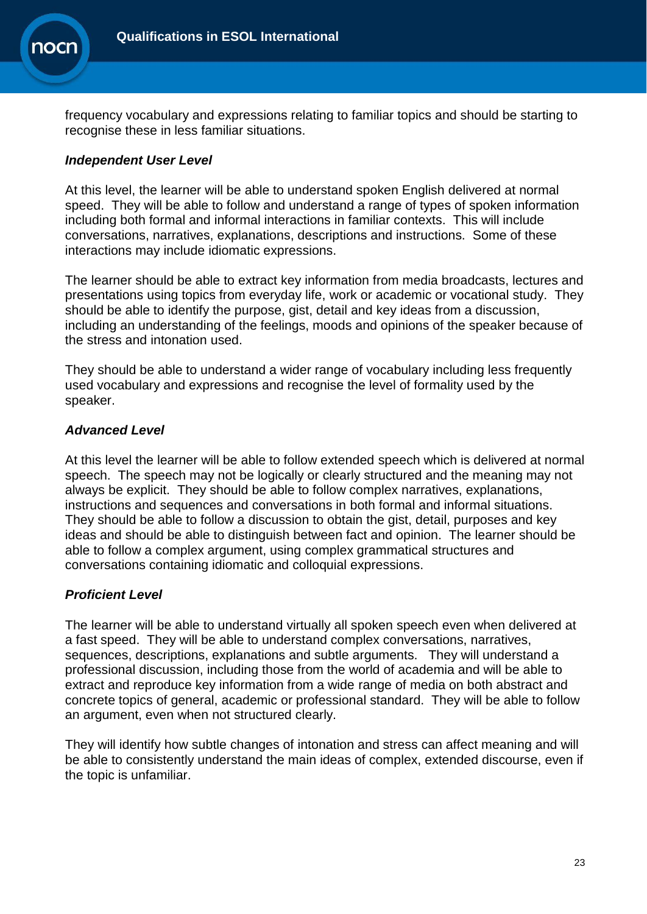

frequency vocabulary and expressions relating to familiar topics and should be starting to recognise these in less familiar situations.

### *Independent User Level*

At this level, the learner will be able to understand spoken English delivered at normal speed. They will be able to follow and understand a range of types of spoken information including both formal and informal interactions in familiar contexts. This will include conversations, narratives, explanations, descriptions and instructions. Some of these interactions may include idiomatic expressions.

The learner should be able to extract key information from media broadcasts, lectures and presentations using topics from everyday life, work or academic or vocational study. They should be able to identify the purpose, gist, detail and key ideas from a discussion, including an understanding of the feelings, moods and opinions of the speaker because of the stress and intonation used.

They should be able to understand a wider range of vocabulary including less frequently used vocabulary and expressions and recognise the level of formality used by the speaker.

#### *Advanced Level*

At this level the learner will be able to follow extended speech which is delivered at normal speech. The speech may not be logically or clearly structured and the meaning may not always be explicit. They should be able to follow complex narratives, explanations, instructions and sequences and conversations in both formal and informal situations. They should be able to follow a discussion to obtain the gist, detail, purposes and key ideas and should be able to distinguish between fact and opinion. The learner should be able to follow a complex argument, using complex grammatical structures and conversations containing idiomatic and colloquial expressions.

## *Proficient Level*

The learner will be able to understand virtually all spoken speech even when delivered at a fast speed. They will be able to understand complex conversations, narratives, sequences, descriptions, explanations and subtle arguments. They will understand a professional discussion, including those from the world of academia and will be able to extract and reproduce key information from a wide range of media on both abstract and concrete topics of general, academic or professional standard. They will be able to follow an argument, even when not structured clearly.

They will identify how subtle changes of intonation and stress can affect meaning and will be able to consistently understand the main ideas of complex, extended discourse, even if the topic is unfamiliar.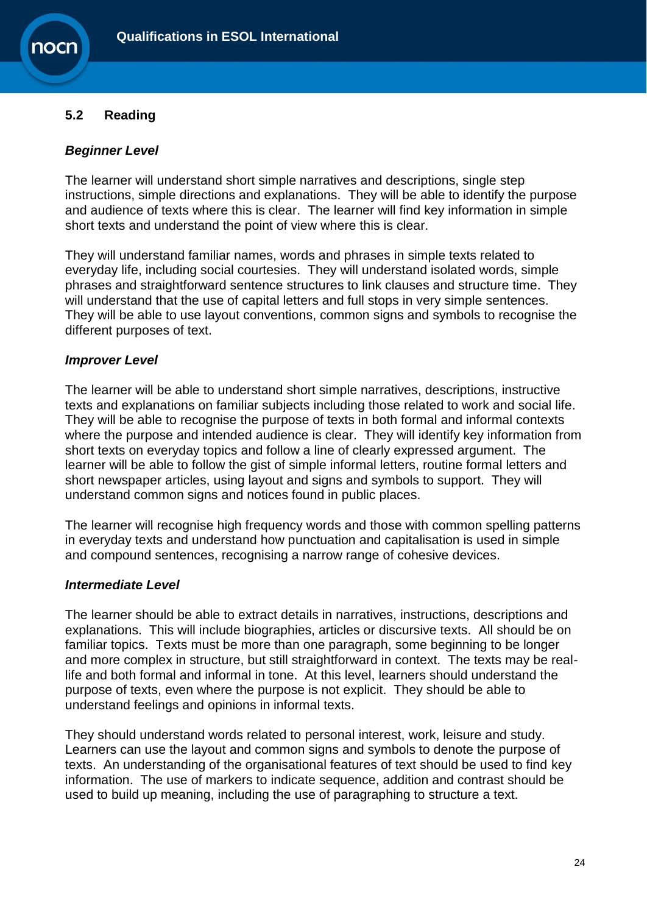## **5.2 Reading**

**OCI** 

## *Beginner Level*

The learner will understand short simple narratives and descriptions, single step instructions, simple directions and explanations. They will be able to identify the purpose and audience of texts where this is clear. The learner will find key information in simple short texts and understand the point of view where this is clear.

They will understand familiar names, words and phrases in simple texts related to everyday life, including social courtesies. They will understand isolated words, simple phrases and straightforward sentence structures to link clauses and structure time. They will understand that the use of capital letters and full stops in very simple sentences. They will be able to use layout conventions, common signs and symbols to recognise the different purposes of text.

#### *Improver Level*

The learner will be able to understand short simple narratives, descriptions, instructive texts and explanations on familiar subjects including those related to work and social life. They will be able to recognise the purpose of texts in both formal and informal contexts where the purpose and intended audience is clear. They will identify key information from short texts on everyday topics and follow a line of clearly expressed argument. The learner will be able to follow the gist of simple informal letters, routine formal letters and short newspaper articles, using layout and signs and symbols to support. They will understand common signs and notices found in public places.

The learner will recognise high frequency words and those with common spelling patterns in everyday texts and understand how punctuation and capitalisation is used in simple and compound sentences, recognising a narrow range of cohesive devices.

#### *Intermediate Level*

The learner should be able to extract details in narratives, instructions, descriptions and explanations. This will include biographies, articles or discursive texts. All should be on familiar topics. Texts must be more than one paragraph, some beginning to be longer and more complex in structure, but still straightforward in context. The texts may be reallife and both formal and informal in tone. At this level, learners should understand the purpose of texts, even where the purpose is not explicit. They should be able to understand feelings and opinions in informal texts.

They should understand words related to personal interest, work, leisure and study. Learners can use the layout and common signs and symbols to denote the purpose of texts. An understanding of the organisational features of text should be used to find key information. The use of markers to indicate sequence, addition and contrast should be used to build up meaning, including the use of paragraphing to structure a text.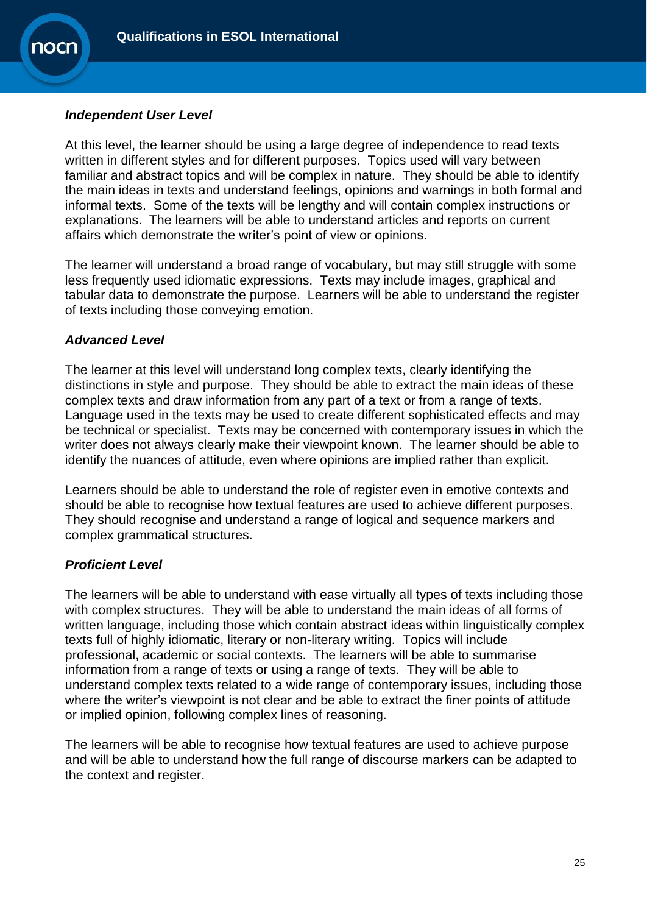

## *Independent User Level*

At this level, the learner should be using a large degree of independence to read texts written in different styles and for different purposes. Topics used will vary between familiar and abstract topics and will be complex in nature. They should be able to identify the main ideas in texts and understand feelings, opinions and warnings in both formal and informal texts. Some of the texts will be lengthy and will contain complex instructions or explanations. The learners will be able to understand articles and reports on current affairs which demonstrate the writer's point of view or opinions.

The learner will understand a broad range of vocabulary, but may still struggle with some less frequently used idiomatic expressions. Texts may include images, graphical and tabular data to demonstrate the purpose. Learners will be able to understand the register of texts including those conveying emotion.

## *Advanced Level*

The learner at this level will understand long complex texts, clearly identifying the distinctions in style and purpose. They should be able to extract the main ideas of these complex texts and draw information from any part of a text or from a range of texts. Language used in the texts may be used to create different sophisticated effects and may be technical or specialist. Texts may be concerned with contemporary issues in which the writer does not always clearly make their viewpoint known. The learner should be able to identify the nuances of attitude, even where opinions are implied rather than explicit.

Learners should be able to understand the role of register even in emotive contexts and should be able to recognise how textual features are used to achieve different purposes. They should recognise and understand a range of logical and sequence markers and complex grammatical structures.

## *Proficient Level*

The learners will be able to understand with ease virtually all types of texts including those with complex structures. They will be able to understand the main ideas of all forms of written language, including those which contain abstract ideas within linguistically complex texts full of highly idiomatic, literary or non-literary writing. Topics will include professional, academic or social contexts. The learners will be able to summarise information from a range of texts or using a range of texts. They will be able to understand complex texts related to a wide range of contemporary issues, including those where the writer's viewpoint is not clear and be able to extract the finer points of attitude or implied opinion, following complex lines of reasoning.

The learners will be able to recognise how textual features are used to achieve purpose and will be able to understand how the full range of discourse markers can be adapted to the context and register.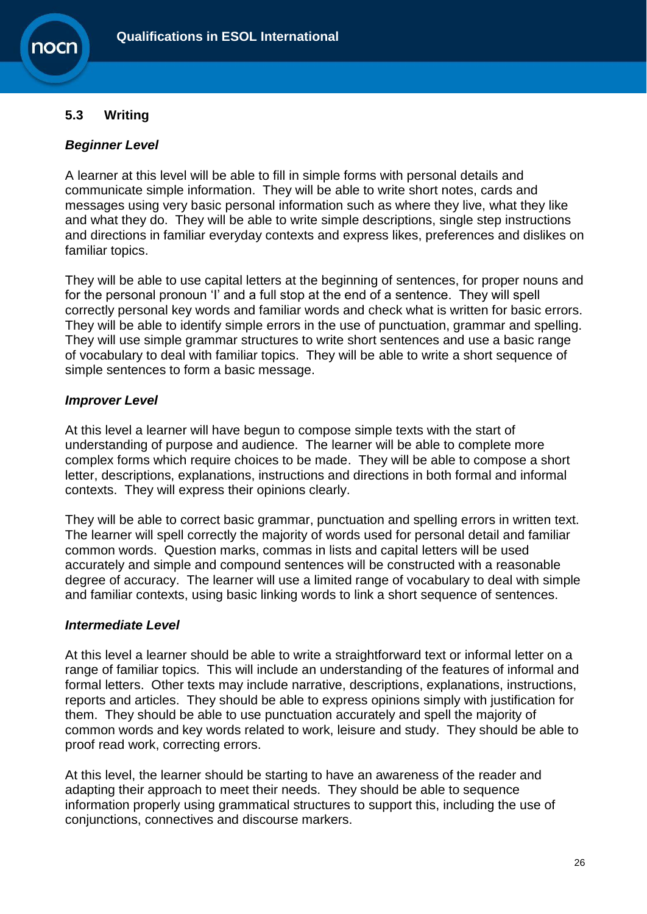## **5.3 Writing**

**OCI** 

## *Beginner Level*

A learner at this level will be able to fill in simple forms with personal details and communicate simple information. They will be able to write short notes, cards and messages using very basic personal information such as where they live, what they like and what they do. They will be able to write simple descriptions, single step instructions and directions in familiar everyday contexts and express likes, preferences and dislikes on familiar topics.

They will be able to use capital letters at the beginning of sentences, for proper nouns and for the personal pronoun 'I' and a full stop at the end of a sentence. They will spell correctly personal key words and familiar words and check what is written for basic errors. They will be able to identify simple errors in the use of punctuation, grammar and spelling. They will use simple grammar structures to write short sentences and use a basic range of vocabulary to deal with familiar topics. They will be able to write a short sequence of simple sentences to form a basic message.

#### *Improver Level*

At this level a learner will have begun to compose simple texts with the start of understanding of purpose and audience. The learner will be able to complete more complex forms which require choices to be made. They will be able to compose a short letter, descriptions, explanations, instructions and directions in both formal and informal contexts. They will express their opinions clearly.

They will be able to correct basic grammar, punctuation and spelling errors in written text. The learner will spell correctly the majority of words used for personal detail and familiar common words. Question marks, commas in lists and capital letters will be used accurately and simple and compound sentences will be constructed with a reasonable degree of accuracy. The learner will use a limited range of vocabulary to deal with simple and familiar contexts, using basic linking words to link a short sequence of sentences.

#### *Intermediate Level*

At this level a learner should be able to write a straightforward text or informal letter on a range of familiar topics. This will include an understanding of the features of informal and formal letters. Other texts may include narrative, descriptions, explanations, instructions, reports and articles. They should be able to express opinions simply with justification for them. They should be able to use punctuation accurately and spell the majority of common words and key words related to work, leisure and study. They should be able to proof read work, correcting errors.

At this level, the learner should be starting to have an awareness of the reader and adapting their approach to meet their needs. They should be able to sequence information properly using grammatical structures to support this, including the use of conjunctions, connectives and discourse markers.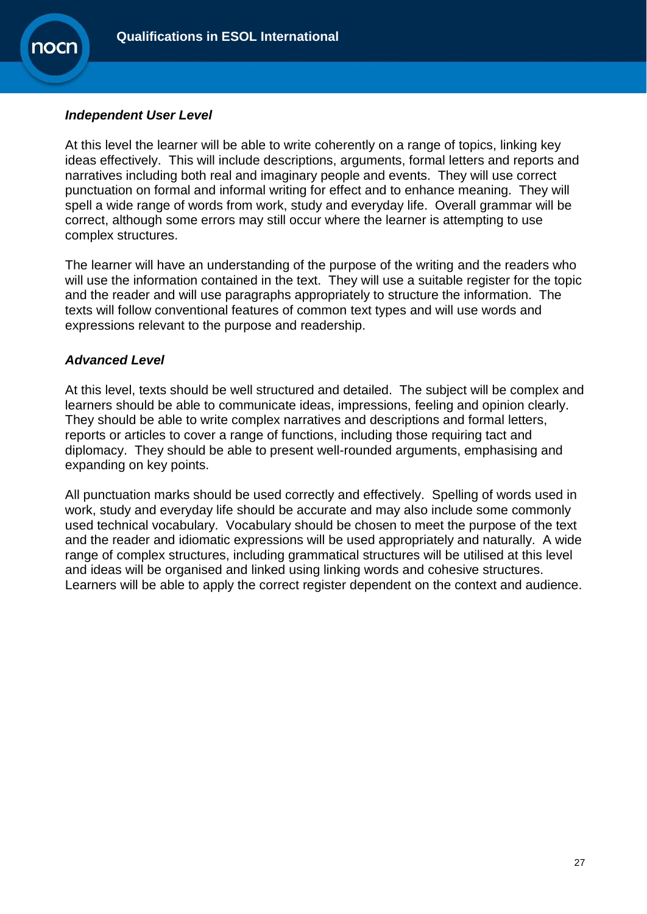

## *Independent User Level*

At this level the learner will be able to write coherently on a range of topics, linking key ideas effectively. This will include descriptions, arguments, formal letters and reports and narratives including both real and imaginary people and events. They will use correct punctuation on formal and informal writing for effect and to enhance meaning. They will spell a wide range of words from work, study and everyday life. Overall grammar will be correct, although some errors may still occur where the learner is attempting to use complex structures.

The learner will have an understanding of the purpose of the writing and the readers who will use the information contained in the text. They will use a suitable register for the topic and the reader and will use paragraphs appropriately to structure the information. The texts will follow conventional features of common text types and will use words and expressions relevant to the purpose and readership.

#### *Advanced Level*

At this level, texts should be well structured and detailed. The subject will be complex and learners should be able to communicate ideas, impressions, feeling and opinion clearly. They should be able to write complex narratives and descriptions and formal letters, reports or articles to cover a range of functions, including those requiring tact and diplomacy. They should be able to present well-rounded arguments, emphasising and expanding on key points.

All punctuation marks should be used correctly and effectively. Spelling of words used in work, study and everyday life should be accurate and may also include some commonly used technical vocabulary. Vocabulary should be chosen to meet the purpose of the text and the reader and idiomatic expressions will be used appropriately and naturally. A wide range of complex structures, including grammatical structures will be utilised at this level and ideas will be organised and linked using linking words and cohesive structures. Learners will be able to apply the correct register dependent on the context and audience.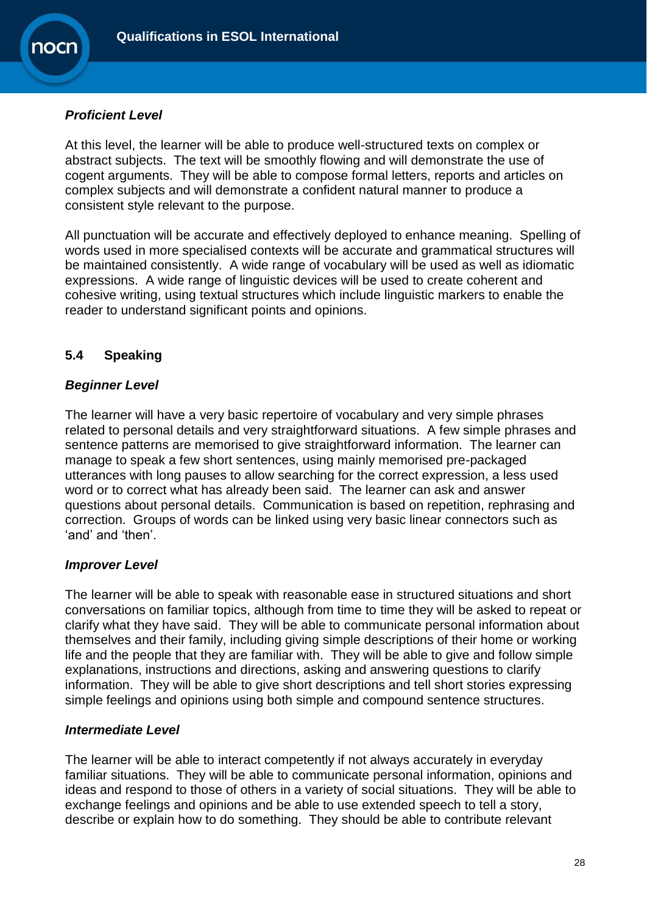## *Proficient Level*

At this level, the learner will be able to produce well-structured texts on complex or abstract subjects. The text will be smoothly flowing and will demonstrate the use of cogent arguments. They will be able to compose formal letters, reports and articles on complex subjects and will demonstrate a confident natural manner to produce a consistent style relevant to the purpose.

All punctuation will be accurate and effectively deployed to enhance meaning. Spelling of words used in more specialised contexts will be accurate and grammatical structures will be maintained consistently. A wide range of vocabulary will be used as well as idiomatic expressions. A wide range of linguistic devices will be used to create coherent and cohesive writing, using textual structures which include linguistic markers to enable the reader to understand significant points and opinions.

## **5.4 Speaking**

## *Beginner Level*

The learner will have a very basic repertoire of vocabulary and very simple phrases related to personal details and very straightforward situations. A few simple phrases and sentence patterns are memorised to give straightforward information. The learner can manage to speak a few short sentences, using mainly memorised pre-packaged utterances with long pauses to allow searching for the correct expression, a less used word or to correct what has already been said. The learner can ask and answer questions about personal details. Communication is based on repetition, rephrasing and correction. Groups of words can be linked using very basic linear connectors such as 'and' and 'then'.

## *Improver Level*

The learner will be able to speak with reasonable ease in structured situations and short conversations on familiar topics, although from time to time they will be asked to repeat or clarify what they have said. They will be able to communicate personal information about themselves and their family, including giving simple descriptions of their home or working life and the people that they are familiar with. They will be able to give and follow simple explanations, instructions and directions, asking and answering questions to clarify information. They will be able to give short descriptions and tell short stories expressing simple feelings and opinions using both simple and compound sentence structures.

## *Intermediate Level*

The learner will be able to interact competently if not always accurately in everyday familiar situations. They will be able to communicate personal information, opinions and ideas and respond to those of others in a variety of social situations. They will be able to exchange feelings and opinions and be able to use extended speech to tell a story, describe or explain how to do something. They should be able to contribute relevant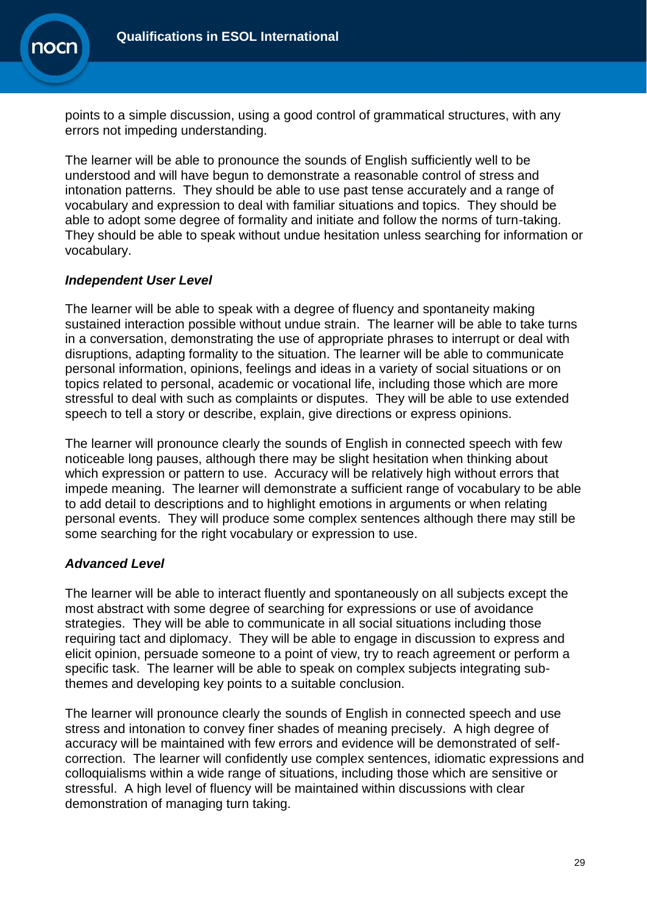

points to a simple discussion, using a good control of grammatical structures, with any errors not impeding understanding.

The learner will be able to pronounce the sounds of English sufficiently well to be understood and will have begun to demonstrate a reasonable control of stress and intonation patterns. They should be able to use past tense accurately and a range of vocabulary and expression to deal with familiar situations and topics. They should be able to adopt some degree of formality and initiate and follow the norms of turn-taking. They should be able to speak without undue hesitation unless searching for information or vocabulary.

## *Independent User Level*

The learner will be able to speak with a degree of fluency and spontaneity making sustained interaction possible without undue strain. The learner will be able to take turns in a conversation, demonstrating the use of appropriate phrases to interrupt or deal with disruptions, adapting formality to the situation. The learner will be able to communicate personal information, opinions, feelings and ideas in a variety of social situations or on topics related to personal, academic or vocational life, including those which are more stressful to deal with such as complaints or disputes. They will be able to use extended speech to tell a story or describe, explain, give directions or express opinions.

The learner will pronounce clearly the sounds of English in connected speech with few noticeable long pauses, although there may be slight hesitation when thinking about which expression or pattern to use. Accuracy will be relatively high without errors that impede meaning. The learner will demonstrate a sufficient range of vocabulary to be able to add detail to descriptions and to highlight emotions in arguments or when relating personal events. They will produce some complex sentences although there may still be some searching for the right vocabulary or expression to use.

## *Advanced Level*

The learner will be able to interact fluently and spontaneously on all subjects except the most abstract with some degree of searching for expressions or use of avoidance strategies. They will be able to communicate in all social situations including those requiring tact and diplomacy. They will be able to engage in discussion to express and elicit opinion, persuade someone to a point of view, try to reach agreement or perform a specific task. The learner will be able to speak on complex subjects integrating subthemes and developing key points to a suitable conclusion.

The learner will pronounce clearly the sounds of English in connected speech and use stress and intonation to convey finer shades of meaning precisely. A high degree of accuracy will be maintained with few errors and evidence will be demonstrated of selfcorrection. The learner will confidently use complex sentences, idiomatic expressions and colloquialisms within a wide range of situations, including those which are sensitive or stressful. A high level of fluency will be maintained within discussions with clear demonstration of managing turn taking.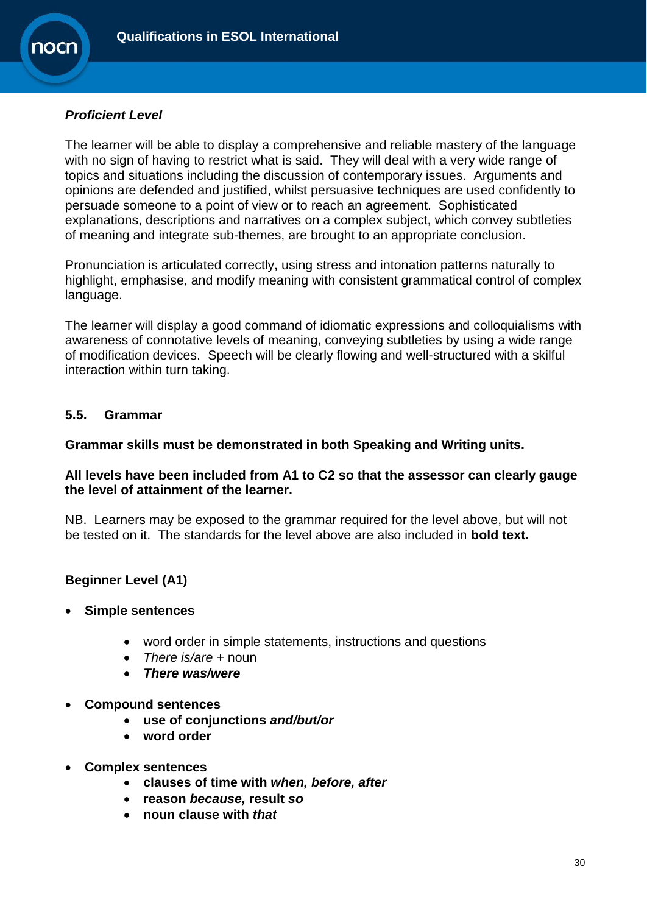

## *Proficient Level*

The learner will be able to display a comprehensive and reliable mastery of the language with no sign of having to restrict what is said. They will deal with a very wide range of topics and situations including the discussion of contemporary issues. Arguments and opinions are defended and justified, whilst persuasive techniques are used confidently to persuade someone to a point of view or to reach an agreement. Sophisticated explanations, descriptions and narratives on a complex subject, which convey subtleties of meaning and integrate sub-themes, are brought to an appropriate conclusion.

Pronunciation is articulated correctly, using stress and intonation patterns naturally to highlight, emphasise, and modify meaning with consistent grammatical control of complex language.

The learner will display a good command of idiomatic expressions and colloquialisms with awareness of connotative levels of meaning, conveying subtleties by using a wide range of modification devices. Speech will be clearly flowing and well-structured with a skilful interaction within turn taking.

## **5.5. Grammar**

## **Grammar skills must be demonstrated in both Speaking and Writing units.**

## **All levels have been included from A1 to C2 so that the assessor can clearly gauge the level of attainment of the learner.**

NB. Learners may be exposed to the grammar required for the level above, but will not be tested on it. The standards for the level above are also included in **bold text.** 

## **Beginner Level (A1)**

- **Simple sentences**
	- word order in simple statements, instructions and questions
	- *There is/are* + noun
	- *There was/were*
- **Compound sentences**
	- **use of conjunctions** *and/but/or*
	- **word order**
- **Complex sentences**
	- **clauses of time with** *when, before, after*
	- **reason** *because,* **result** *so*
	- **noun clause with** *that*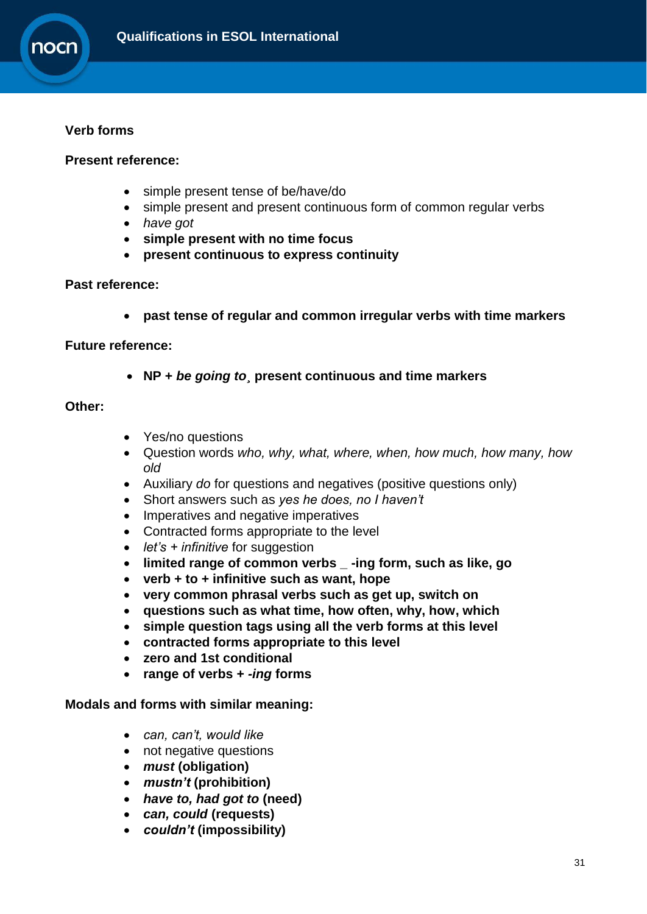

## **Verb forms**

### **Present reference:**

- simple present tense of be/have/do
- simple present and present continuous form of common regular verbs
- *have got*
- **simple present with no time focus**
- **present continuous to express continuity**

#### **Past reference:**

**past tense of regular and common irregular verbs with time markers**

#### **Future reference:**

**NP +** *be going to¸* **present continuous and time markers**

### **Other:**

- Yes/no questions
- Question words *who, why, what, where, when, how much, how many, how old*
- Auxiliary *do* for questions and negatives (positive questions only)
- Short answers such as *yes he does, no I haven't*
- Imperatives and negative imperatives
- Contracted forms appropriate to the level
- *let's + infinitive* for suggestion
- **limited range of common verbs \_ -ing form, such as like, go**
- **verb + to + infinitive such as want, hope**
- **very common phrasal verbs such as get up, switch on**
- **questions such as what time, how often, why, how, which**
- **simple question tags using all the verb forms at this level**
- **contracted forms appropriate to this level**
- **zero and 1st conditional**
- **range of verbs +** *-ing* **forms**

#### **Modals and forms with similar meaning:**

- *can, can't, would like*
- not negative questions
- *must* **(obligation)**
- *mustn't* **(prohibition)**
- *have to, had got to* **(need)**
- *can, could* **(requests)**
- *couldn't* **(impossibility)**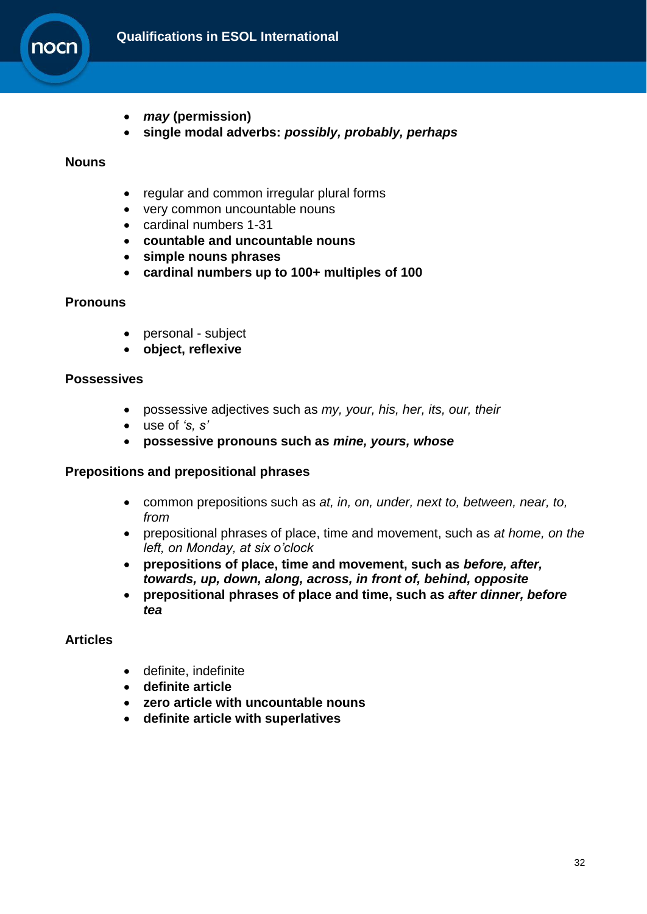

- *may* **(permission)**
- **single modal adverbs:** *possibly, probably, perhaps*

#### **Nouns**

- regular and common irregular plural forms
- very common uncountable nouns
- cardinal numbers 1-31
- **countable and uncountable nouns**
- **simple nouns phrases**
- **cardinal numbers up to 100+ multiples of 100**

#### **Pronouns**

- personal subject
- **object, reflexive**

#### **Possessives**

- possessive adjectives such as *my, your, his, her, its, our, their*
- use of *'s, s'*
- **possessive pronouns such as** *mine, yours, whose*

#### **Prepositions and prepositional phrases**

- common prepositions such as *at, in, on, under, next to, between, near, to, from*
- prepositional phrases of place, time and movement, such as *at home, on the left, on Monday, at six o'clock*
- **prepositions of place, time and movement, such as** *before, after, towards, up, down, along, across, in front of, behind, opposite*
- **prepositional phrases of place and time, such as** *after dinner, before tea*

## **Articles**

- definite, indefinite
- **definite article**
- **zero article with uncountable nouns**
- **definite article with superlatives**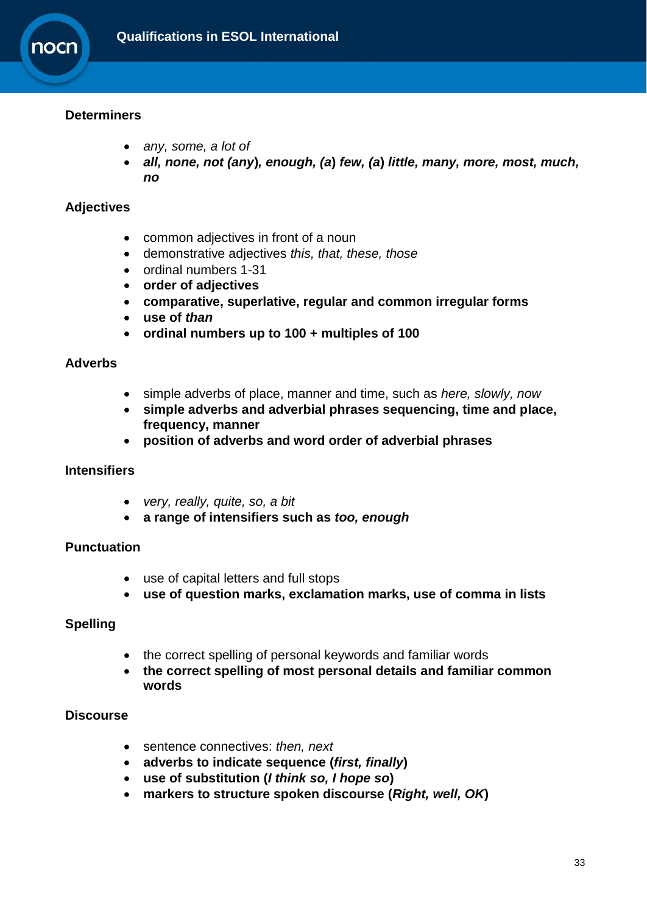

## **Determiners**

- *any, some, a lot of*
- *all, none, not (any***)***, enough, (a***)** *few, (a***)** *little, many, more, most, much, no*

## **Adjectives**

- common adjectives in front of a noun
- demonstrative adjectives *this, that, these, those*
- ordinal numbers 1-31
- **order of adjectives**
- **comparative, superlative, regular and common irregular forms**
- **use of** *than*
- **ordinal numbers up to 100 + multiples of 100**

#### **Adverbs**

- simple adverbs of place, manner and time, such as *here, slowly, now*
- **simple adverbs and adverbial phrases sequencing, time and place, frequency, manner**
- **position of adverbs and word order of adverbial phrases**

## **Intensifiers**

- *very, really, quite, so, a bit*
- **a range of intensifiers such as** *too, enough*

## **Punctuation**

- use of capital letters and full stops
- **use of question marks, exclamation marks, use of comma in lists**

## **Spelling**

- the correct spelling of personal keywords and familiar words
- **the correct spelling of most personal details and familiar common words**

## **Discourse**

- sentence connectives: *then, next*
- **adverbs to indicate sequence (***first, finally***)**
- **use of substitution (***I think so, I hope so***)**
- **markers to structure spoken discourse (***Right, well, OK***)**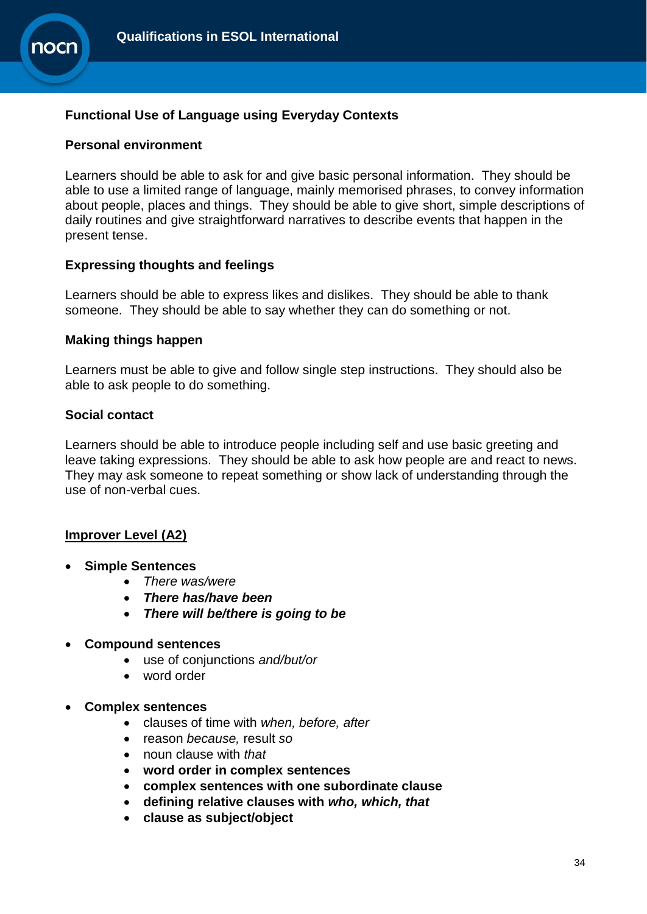

## **Functional Use of Language using Everyday Contexts**

#### **Personal environment**

Learners should be able to ask for and give basic personal information. They should be able to use a limited range of language, mainly memorised phrases, to convey information about people, places and things. They should be able to give short, simple descriptions of daily routines and give straightforward narratives to describe events that happen in the present tense.

#### **Expressing thoughts and feelings**

Learners should be able to express likes and dislikes. They should be able to thank someone. They should be able to say whether they can do something or not.

#### **Making things happen**

Learners must be able to give and follow single step instructions. They should also be able to ask people to do something.

#### **Social contact**

Learners should be able to introduce people including self and use basic greeting and leave taking expressions. They should be able to ask how people are and react to news. They may ask someone to repeat something or show lack of understanding through the use of non-verbal cues.

#### **Improver Level (A2)**

- **Simple Sentences**
	- *There was/were*
	- *There has/have been*
	- *There will be/there is going to be*
- **Compound sentences**
	- use of conjunctions *and/but/or*
	- word order
- **Complex sentences**
	- clauses of time with *when, before, after*
	- reason *because,* result *so*
	- noun clause with *that*
	- **word order in complex sentences**
	- **complex sentences with one subordinate clause**
	- **defining relative clauses with** *who, which, that*
	- **clause as subject/object**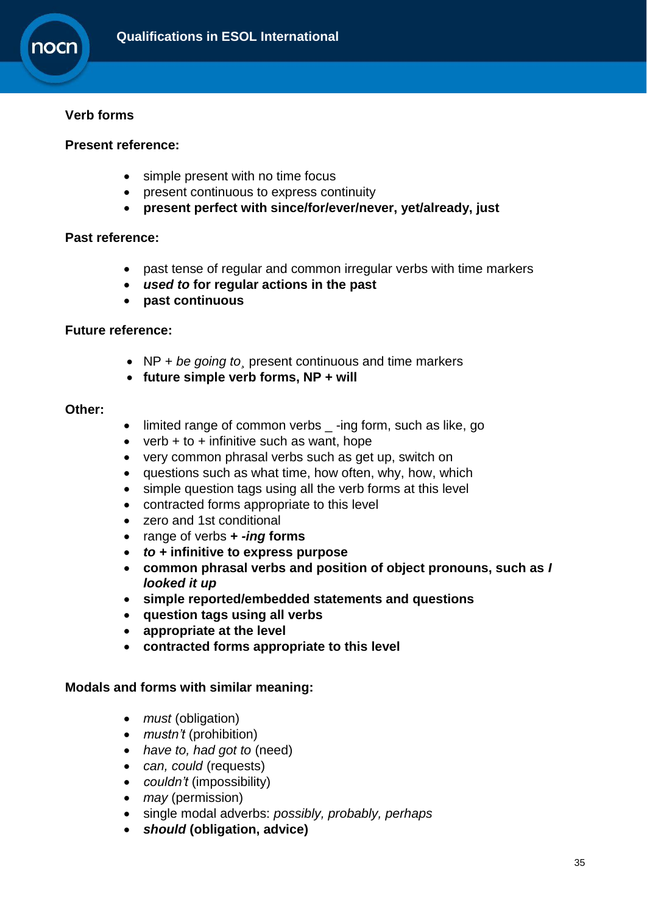

## **Verb forms**

#### **Present reference:**

- simple present with no time focus
- present continuous to express continuity
- **present perfect with since/for/ever/never, yet/already, just**

#### **Past reference:**

- past tense of regular and common irregular verbs with time markers
- *used to* **for regular actions in the past**
- **past continuous**

#### **Future reference:**

- NP + *be going to¸* present continuous and time markers
- **future simple verb forms, NP + will**

#### **Other:**

- limited range of common verbs \_ -ing form, such as like, go
- verb  $+$  to  $+$  infinitive such as want, hope
- very common phrasal verbs such as get up, switch on
- questions such as what time, how often, why, how, which
- simple question tags using all the verb forms at this level
- contracted forms appropriate to this level
- zero and 1st conditional
- range of verbs **+** *-ing* **forms**
- *to +* **infinitive to express purpose**
- **common phrasal verbs and position of object pronouns, such as** *I looked it up*
- **simple reported/embedded statements and questions**
- **question tags using all verbs**
- **appropriate at the level**
- **contracted forms appropriate to this level**

#### **Modals and forms with similar meaning:**

- *must* (obligation)
- *mustn't* (prohibition)
- *have to, had got to* (need)
- *can, could* (requests)
- *couldn't* (impossibility)
- *may* (permission)
- single modal adverbs: *possibly, probably, perhaps*
- *should* **(obligation, advice)**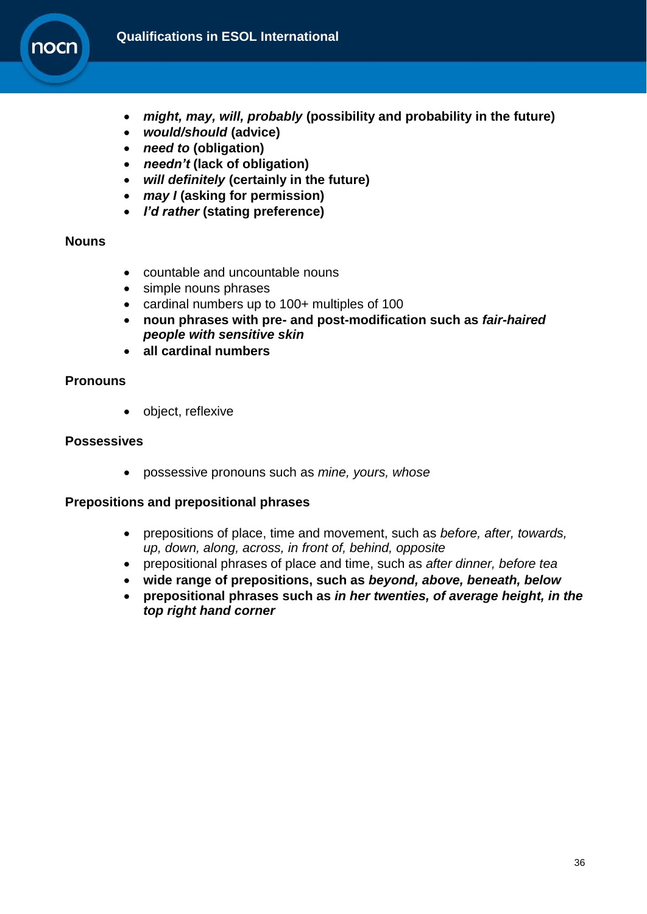

- *might, may, will, probably* **(possibility and probability in the future)**
- *would/should* **(advice)**
- *need to* **(obligation)**
- *needn't* **(lack of obligation)**
- *will definitely* **(certainly in the future)**
- *may I* **(asking for permission)**
- *I'd rather* **(stating preference)**

#### **Nouns**

- countable and uncountable nouns
- simple nouns phrases
- cardinal numbers up to 100+ multiples of 100
- **noun phrases with pre- and post-modification such as** *fair-haired people with sensitive skin*
- **all cardinal numbers**

#### **Pronouns**

object, reflexive

#### **Possessives**

possessive pronouns such as *mine, yours, whose*

#### **Prepositions and prepositional phrases**

- prepositions of place, time and movement, such as *before, after, towards, up, down, along, across, in front of, behind, opposite*
- prepositional phrases of place and time, such as *after dinner, before tea*
- **wide range of prepositions, such as** *beyond, above, beneath, below*
- **prepositional phrases such as** *in her twenties, of average height, in the top right hand corner*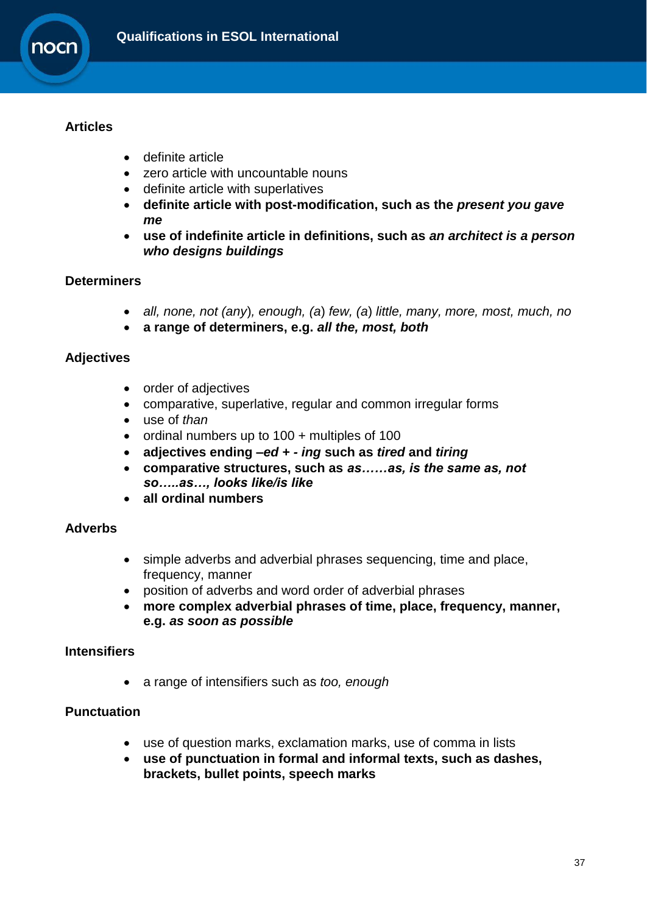

## **Articles**

- definite article
- zero article with uncountable nouns
- definite article with superlatives
- **definite article with post-modification, such as the** *present you gave me*
- **use of indefinite article in definitions, such as** *an architect is a person who designs buildings*

## **Determiners**

- *all, none, not (any*)*, enough, (a*) *few, (a*) *little, many, more, most, much, no*
- **a range of determiners, e.g.** *all the, most, both*

## **Adjectives**

- order of adjectives
- comparative, superlative, regular and common irregular forms
- use of *than*
- ordinal numbers up to 100 + multiples of 100
- **adjectives ending** *–ed* **+** *- ing* **such as** *tired* **and** *tiring*
- **comparative structures, such as** *as……as, is the same as, not so…..as…, looks like/is like*
- **all ordinal numbers**

## **Adverbs**

- simple adverbs and adverbial phrases sequencing, time and place, frequency, manner
- position of adverbs and word order of adverbial phrases
- **more complex adverbial phrases of time, place, frequency, manner, e.g.** *as soon as possible*

## **Intensifiers**

a range of intensifiers such as *too, enough*

## **Punctuation**

- use of question marks, exclamation marks, use of comma in lists
- **use of punctuation in formal and informal texts, such as dashes, brackets, bullet points, speech marks**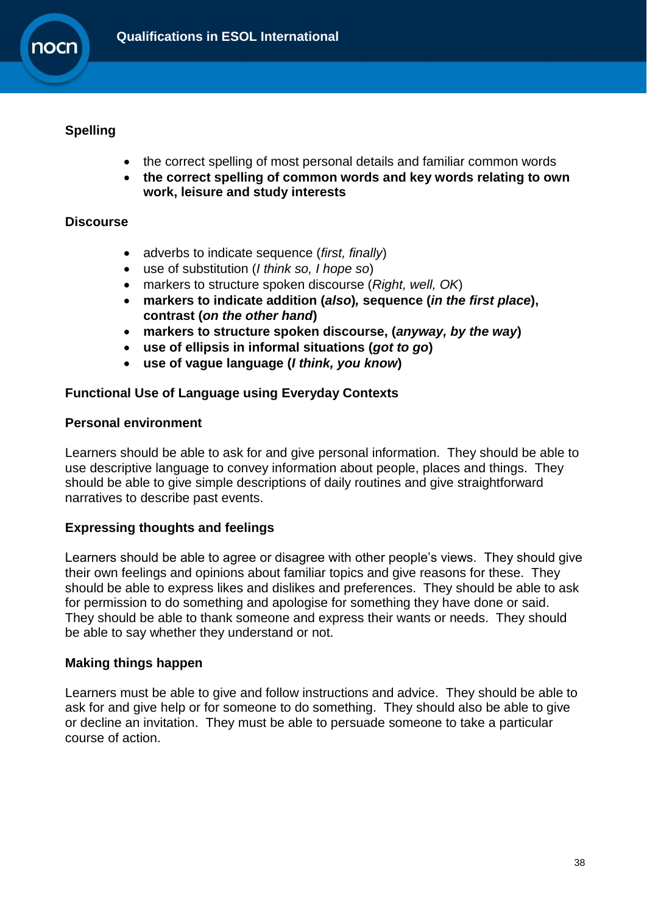

## **Spelling**

- the correct spelling of most personal details and familiar common words
- **the correct spelling of common words and key words relating to own work, leisure and study interests**

## **Discourse**

- adverbs to indicate sequence (*first, finally*)
- use of substitution (*I think so, I hope so*)
- markers to structure spoken discourse (*Right, well, OK*)
- **markers to indicate addition (***also***)***,* **sequence (***in the first place***), contrast (***on the other hand***)**
- **markers to structure spoken discourse, (***anyway, by the way***)**
- **use of ellipsis in informal situations (***got to go***)**
- **use of vague language (***I think, you know***)**

## **Functional Use of Language using Everyday Contexts**

#### **Personal environment**

Learners should be able to ask for and give personal information. They should be able to use descriptive language to convey information about people, places and things. They should be able to give simple descriptions of daily routines and give straightforward narratives to describe past events.

## **Expressing thoughts and feelings**

Learners should be able to agree or disagree with other people's views. They should give their own feelings and opinions about familiar topics and give reasons for these. They should be able to express likes and dislikes and preferences. They should be able to ask for permission to do something and apologise for something they have done or said. They should be able to thank someone and express their wants or needs. They should be able to say whether they understand or not.

#### **Making things happen**

Learners must be able to give and follow instructions and advice. They should be able to ask for and give help or for someone to do something. They should also be able to give or decline an invitation. They must be able to persuade someone to take a particular course of action.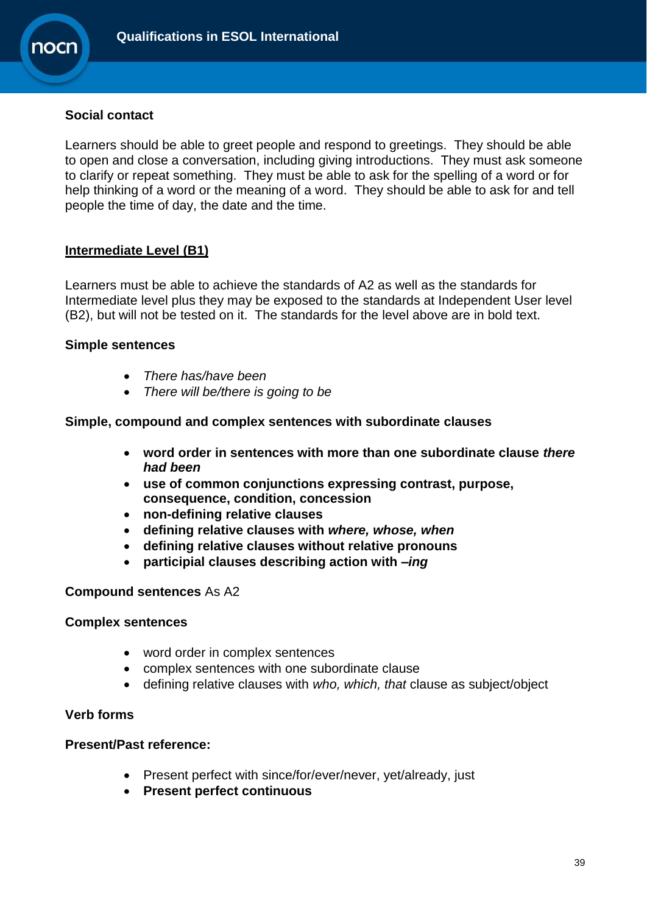

### **Social contact**

Learners should be able to greet people and respond to greetings. They should be able to open and close a conversation, including giving introductions. They must ask someone to clarify or repeat something. They must be able to ask for the spelling of a word or for help thinking of a word or the meaning of a word. They should be able to ask for and tell people the time of day, the date and the time.

#### **Intermediate Level (B1)**

Learners must be able to achieve the standards of A2 as well as the standards for Intermediate level plus they may be exposed to the standards at Independent User level (B2), but will not be tested on it. The standards for the level above are in bold text.

#### **Simple sentences**

- *There has/have been*
- *There will be/there is going to be*

#### **Simple, compound and complex sentences with subordinate clauses**

- **word order in sentences with more than one subordinate clause** *there had been*
- **use of common conjunctions expressing contrast, purpose, consequence, condition, concession**
- **non-defining relative clauses**
- **defining relative clauses with** *where, whose, when*
- **defining relative clauses without relative pronouns**
- **participial clauses describing action with** *–ing*

#### **Compound sentences** As A2

#### **Complex sentences**

- word order in complex sentences
- complex sentences with one subordinate clause
- defining relative clauses with *who, which, that* clause as subject/object

#### **Verb forms**

#### **Present/Past reference:**

- Present perfect with since/for/ever/never, yet/already, just
- **Present perfect continuous**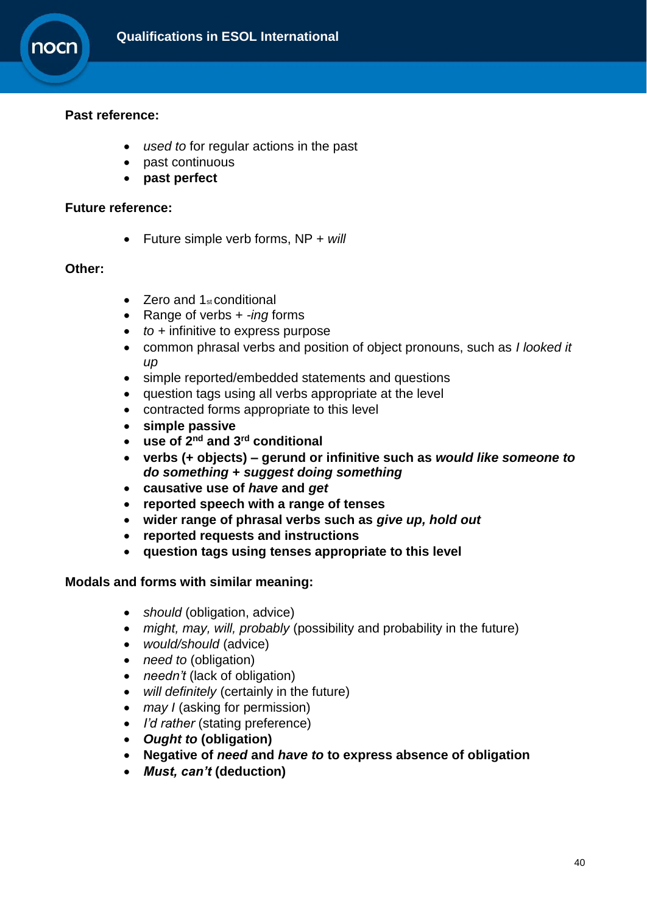

## **Past reference:**

- *used to* for regular actions in the past
- past continuous
- **past perfect**

#### **Future reference:**

Future simple verb forms, NP + *will*

#### **Other:**

- $\bullet$  Zero and 1<sub>st</sub> conditional
- Range of verbs + *-ing* forms
- *to +* infinitive to express purpose
- common phrasal verbs and position of object pronouns, such as *I looked it up*
- simple reported/embedded statements and questions
- question tags using all verbs appropriate at the level
- contracted forms appropriate to this level
- **simple passive**
- **use of 2nd and 3rd conditional**
- **verbs (+ objects) – gerund or infinitive such as** *would like someone to do something* **+** *suggest doing something*
- **causative use of** *have* **and** *get*
- **reported speech with a range of tenses**
- **wider range of phrasal verbs such as** *give up, hold out*
- **reported requests and instructions**
- **question tags using tenses appropriate to this level**

#### **Modals and forms with similar meaning:**

- *should* (obligation, advice)
- *might, may, will, probably* (possibility and probability in the future)
- *would/should* (advice)
- *need to (obligation)*
- *needn't* (lack of obligation)
- *will definitely* (certainly in the future)
- *may I* (asking for permission)
- *I'd rather* (stating preference)
- *Ought to* **(obligation)**
- **Negative of** *need* **and** *have to* **to express absence of obligation**
- *Must, can't* **(deduction)**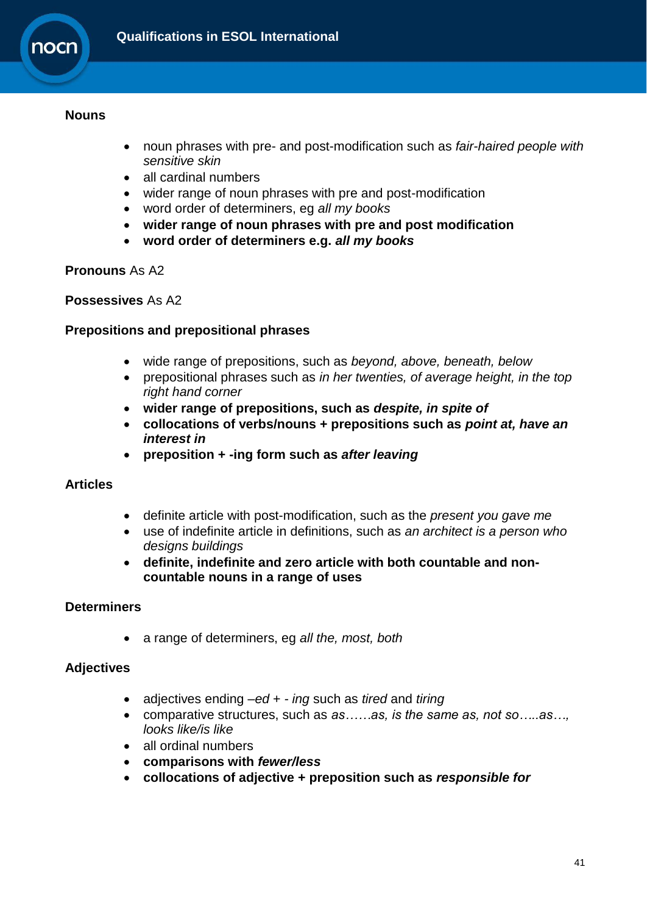

#### **Nouns**

- noun phrases with pre- and post-modification such as *fair-haired people with sensitive skin*
- all cardinal numbers
- wider range of noun phrases with pre and post-modification
- word order of determiners, eg *all my books*
- **wider range of noun phrases with pre and post modification**
- **word order of determiners e.g.** *all my books*

## **Pronouns** As A2

#### **Possessives** As A2

## **Prepositions and prepositional phrases**

- wide range of prepositions, such as *beyond, above, beneath, below*
- prepositional phrases such as *in her twenties, of average height, in the top right hand corner*
- **wider range of prepositions, such as** *despite, in spite of*
- **collocations of verbs/nouns + prepositions such as** *point at, have an interest in*
- **preposition + -ing form such as** *after leaving*

## **Articles**

- definite article with post-modification, such as the *present you gave me*
- use of indefinite article in definitions, such as *an architect is a person who designs buildings*
- **definite, indefinite and zero article with both countable and noncountable nouns in a range of uses**

## **Determiners**

a range of determiners, eg *all the, most, both*

## **Adjectives**

- adjectives ending *–ed* + *- ing* such as *tired* and *tiring*
- comparative structures, such as *as……as, is the same as, not so…..as…, looks like/is like*
- all ordinal numbers
- **comparisons with** *fewer/less*
- **collocations of adjective + preposition such as** *responsible for*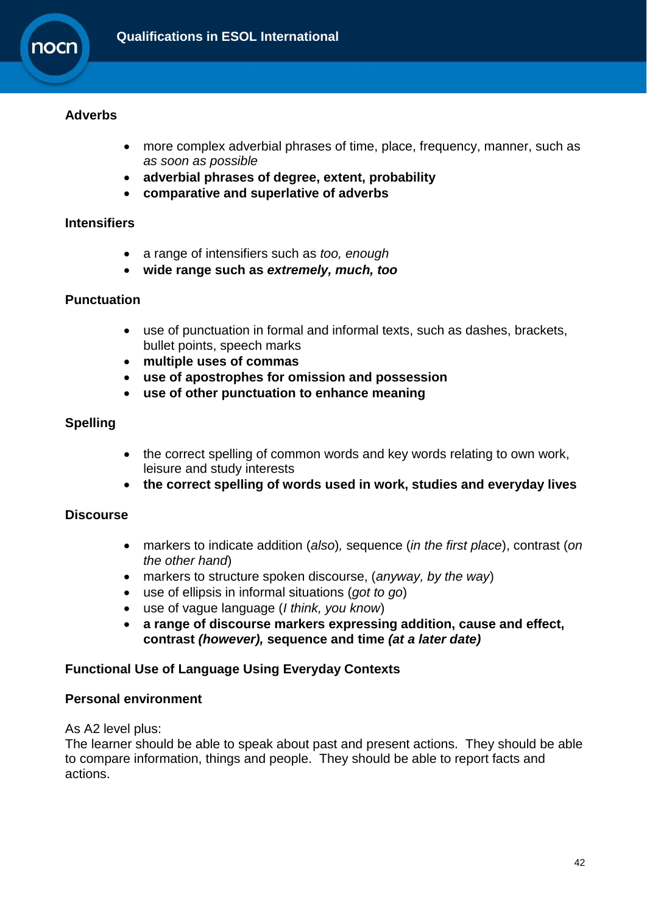

## **Adverbs**

- more complex adverbial phrases of time, place, frequency, manner, such as *as soon as possible*
- **adverbial phrases of degree, extent, probability**
- **comparative and superlative of adverbs**

#### **Intensifiers**

- a range of intensifiers such as *too, enough*
- **wide range such as** *extremely, much, too*

#### **Punctuation**

- use of punctuation in formal and informal texts, such as dashes, brackets, bullet points, speech marks
- **multiple uses of commas**
- **use of apostrophes for omission and possession**
- **use of other punctuation to enhance meaning**

### **Spelling**

- the correct spelling of common words and key words relating to own work, leisure and study interests
- **the correct spelling of words used in work, studies and everyday lives**

#### **Discourse**

- markers to indicate addition (*also*)*,* sequence (*in the first place*), contrast (*on the other hand*)
- markers to structure spoken discourse, (*anyway, by the way*)
- use of ellipsis in informal situations (*got to go*)
- use of vague language (*I think, you know*)
- **a range of discourse markers expressing addition, cause and effect, contrast** *(however),* **sequence and time** *(at a later date)*

## **Functional Use of Language Using Everyday Contexts**

#### **Personal environment**

As A2 level plus:

The learner should be able to speak about past and present actions. They should be able to compare information, things and people. They should be able to report facts and actions.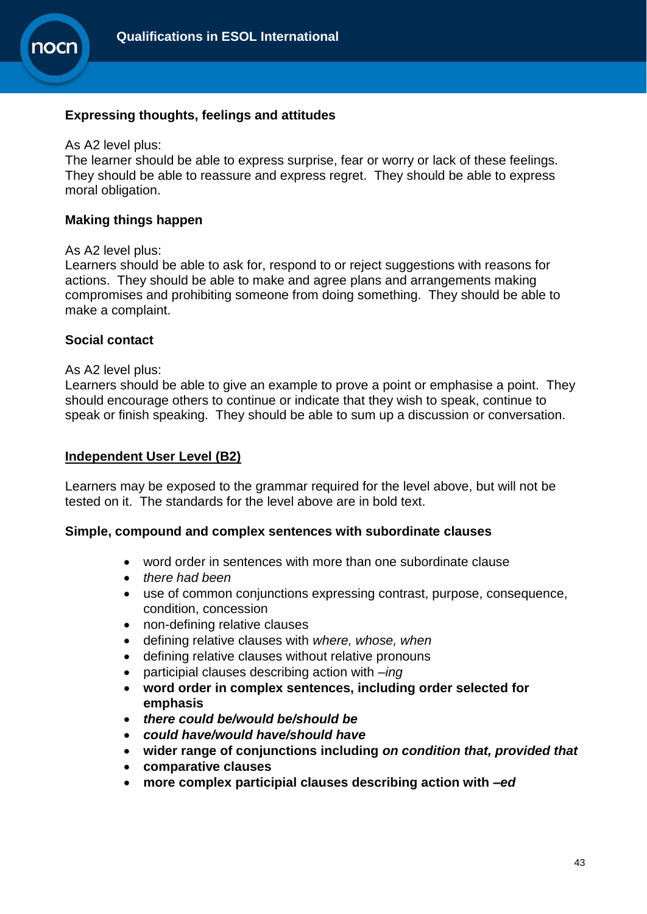

#### **Expressing thoughts, feelings and attitudes**

#### As A2 level plus:

The learner should be able to express surprise, fear or worry or lack of these feelings. They should be able to reassure and express regret. They should be able to express moral obligation.

#### **Making things happen**

#### As A2 level plus:

Learners should be able to ask for, respond to or reject suggestions with reasons for actions. They should be able to make and agree plans and arrangements making compromises and prohibiting someone from doing something. They should be able to make a complaint.

#### **Social contact**

#### As A2 level plus:

Learners should be able to give an example to prove a point or emphasise a point. They should encourage others to continue or indicate that they wish to speak, continue to speak or finish speaking. They should be able to sum up a discussion or conversation.

#### **Independent User Level (B2)**

Learners may be exposed to the grammar required for the level above, but will not be tested on it. The standards for the level above are in bold text.

#### **Simple, compound and complex sentences with subordinate clauses**

- word order in sentences with more than one subordinate clause
- *there had been*
- use of common conjunctions expressing contrast, purpose, consequence, condition, concession
- non-defining relative clauses
- defining relative clauses with *where, whose, when*
- defining relative clauses without relative pronouns
- participial clauses describing action with *–ing*
- **word order in complex sentences, including order selected for emphasis**
- *there could be/would be/should be*
- *could have/would have/should have*
- **wider range of conjunctions including** *on condition that, provided that*
- **comparative clauses**
- **more complex participial clauses describing action with** *–ed*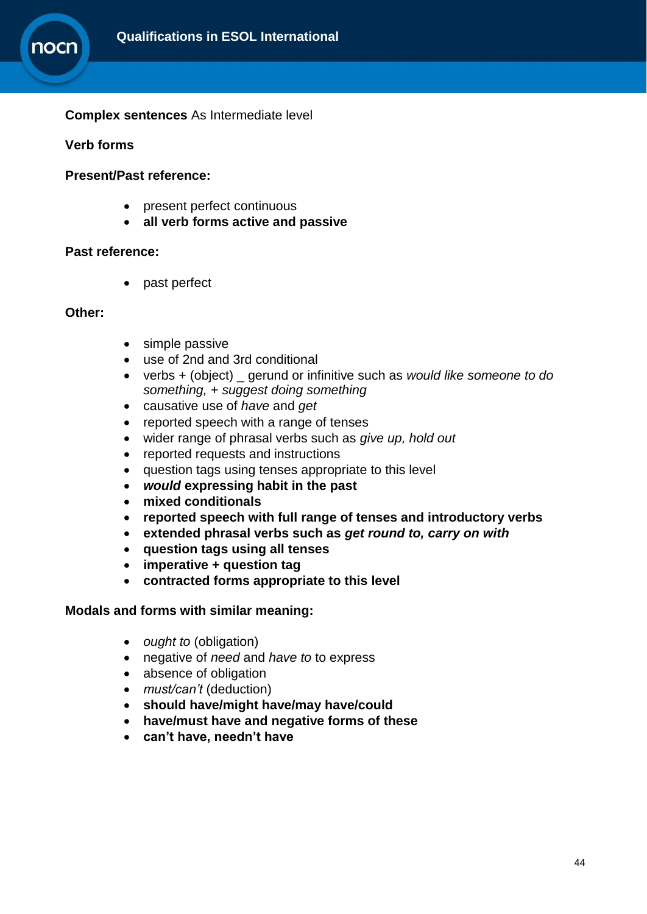

#### **Complex sentences** As Intermediate level

#### **Verb forms**

#### **Present/Past reference:**

- present perfect continuous
- **all verb forms active and passive**

#### **Past reference:**

• past perfect

#### **Other:**

- simple passive
- use of 2nd and 3rd conditional
- verbs + (object) \_ gerund or infinitive such as *would like someone to do something,* + *suggest doing something*
- causative use of *have* and *get*
- reported speech with a range of tenses
- wider range of phrasal verbs such as *give up, hold out*
- reported requests and instructions
- question tags using tenses appropriate to this level
- *would* **expressing habit in the past**
- **mixed conditionals**
- **reported speech with full range of tenses and introductory verbs**
- **extended phrasal verbs such as** *get round to, carry on with*
- **question tags using all tenses**
- **imperative + question tag**
- **contracted forms appropriate to this level**

#### **Modals and forms with similar meaning:**

- *ought to (obligation)*
- negative of *need* and *have to* to express
- absence of obligation
- must/can't (deduction)
- **should have/might have/may have/could**
- **have/must have and negative forms of these**
- **can't have, needn't have**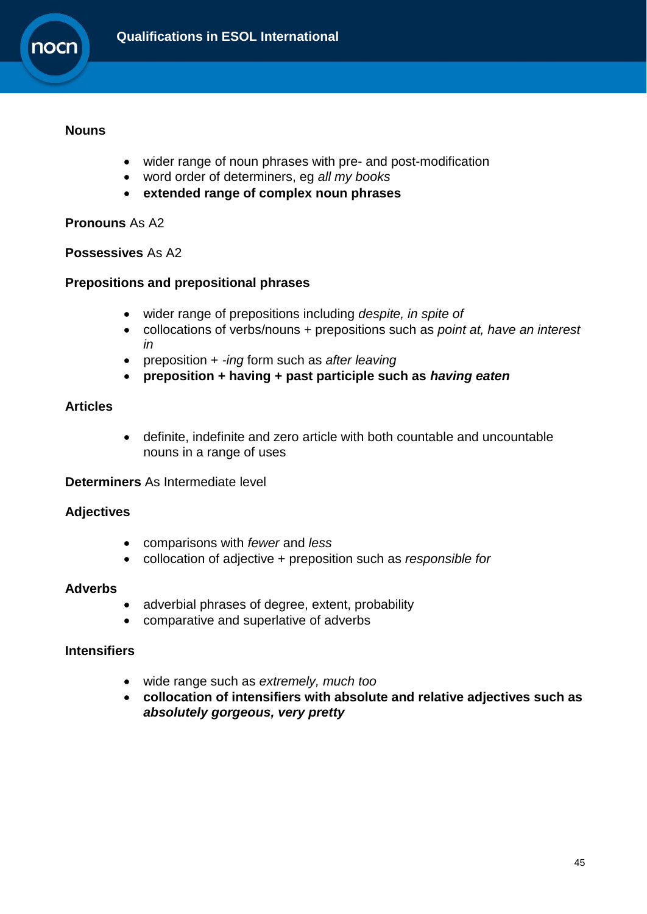

#### **Nouns**

- wider range of noun phrases with pre- and post-modification
- word order of determiners, eg *all my books*
- **extended range of complex noun phrases**

## **Pronouns** As A2

## **Possessives** As A2

## **Prepositions and prepositional phrases**

- wider range of prepositions including *despite, in spite of*
- collocations of verbs/nouns + prepositions such as *point at, have an interest in*
- preposition + *-ing* form such as *after leaving*
- **preposition + having + past participle such as** *having eaten*

## **Articles**

 definite, indefinite and zero article with both countable and uncountable nouns in a range of uses

## **Determiners** As Intermediate level

## **Adjectives**

- comparisons with *fewer* and *less*
- collocation of adjective + preposition such as *responsible for*

#### **Adverbs**

- adverbial phrases of degree, extent, probability
- comparative and superlative of adverbs

### **Intensifiers**

- wide range such as *extremely, much too*
- **collocation of intensifiers with absolute and relative adjectives such as**  *absolutely gorgeous, very pretty*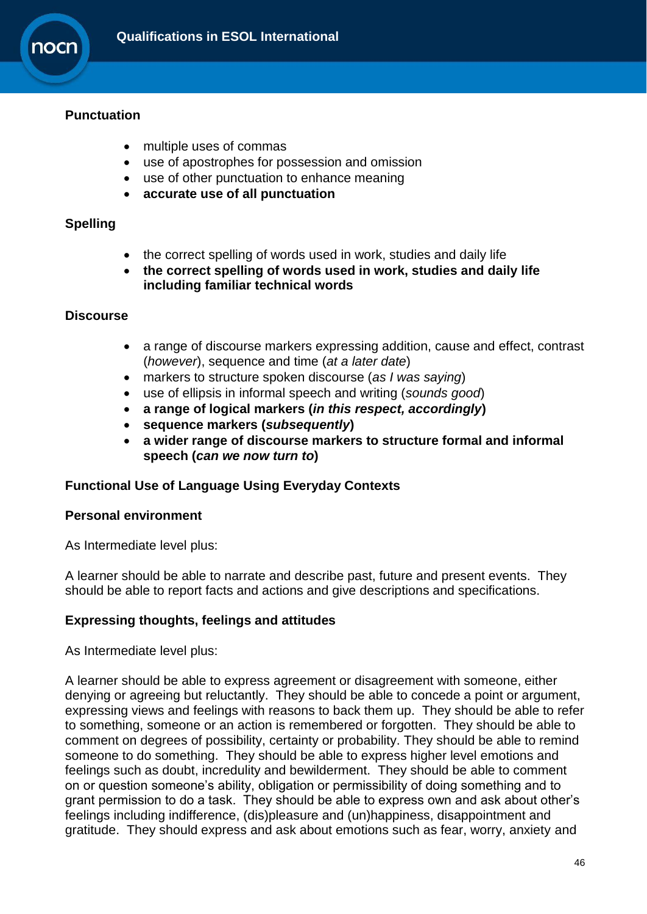

## **Punctuation**

- multiple uses of commas
- use of apostrophes for possession and omission
- use of other punctuation to enhance meaning
- **accurate use of all punctuation**

### **Spelling**

- the correct spelling of words used in work, studies and daily life
- **the correct spelling of words used in work, studies and daily life including familiar technical words**

#### **Discourse**

- a range of discourse markers expressing addition, cause and effect, contrast (*however*), sequence and time (*at a later date*)
- markers to structure spoken discourse (*as I was saying*)
- use of ellipsis in informal speech and writing (*sounds good*)
- **a range of logical markers (***in this respect, accordingly***)**
- **sequence markers (***subsequently***)**
- **a wider range of discourse markers to structure formal and informal speech (***can we now turn to***)**

## **Functional Use of Language Using Everyday Contexts**

#### **Personal environment**

As Intermediate level plus:

A learner should be able to narrate and describe past, future and present events. They should be able to report facts and actions and give descriptions and specifications.

## **Expressing thoughts, feelings and attitudes**

As Intermediate level plus:

A learner should be able to express agreement or disagreement with someone, either denying or agreeing but reluctantly. They should be able to concede a point or argument, expressing views and feelings with reasons to back them up. They should be able to refer to something, someone or an action is remembered or forgotten. They should be able to comment on degrees of possibility, certainty or probability. They should be able to remind someone to do something. They should be able to express higher level emotions and feelings such as doubt, incredulity and bewilderment. They should be able to comment on or question someone's ability, obligation or permissibility of doing something and to grant permission to do a task. They should be able to express own and ask about other's feelings including indifference, (dis)pleasure and (un)happiness, disappointment and gratitude. They should express and ask about emotions such as fear, worry, anxiety and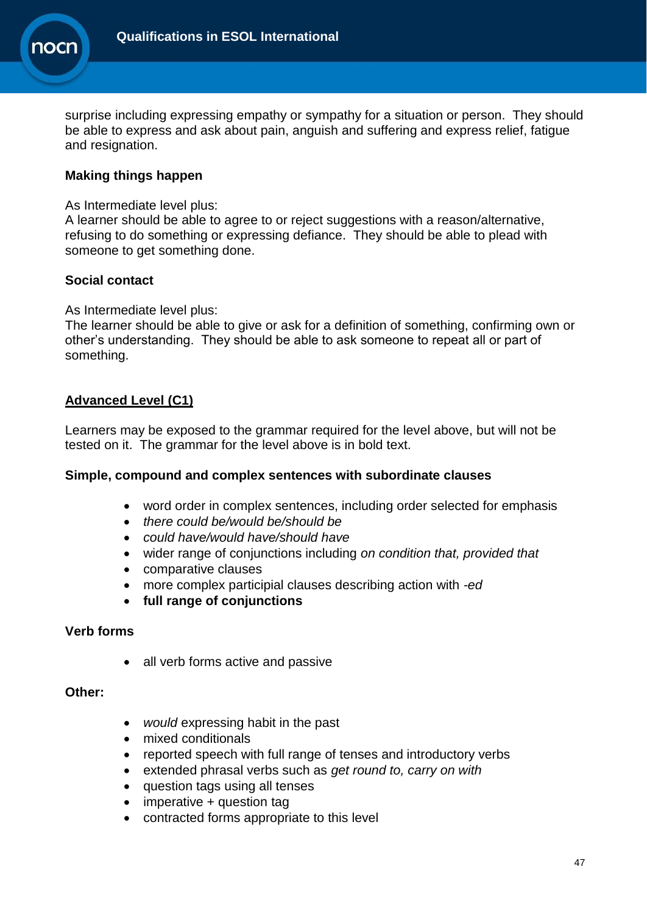

surprise including expressing empathy or sympathy for a situation or person. They should be able to express and ask about pain, anguish and suffering and express relief, fatigue and resignation.

## **Making things happen**

#### As Intermediate level plus:

A learner should be able to agree to or reject suggestions with a reason/alternative, refusing to do something or expressing defiance. They should be able to plead with someone to get something done.

## **Social contact**

As Intermediate level plus:

The learner should be able to give or ask for a definition of something, confirming own or other's understanding. They should be able to ask someone to repeat all or part of something.

## **Advanced Level (C1)**

Learners may be exposed to the grammar required for the level above, but will not be tested on it. The grammar for the level above is in bold text.

## **Simple, compound and complex sentences with subordinate clauses**

- word order in complex sentences, including order selected for emphasis
- *there could be/would be/should be*
- *could have/would have/should have*
- wider range of conjunctions including *on condition that, provided that*
- comparative clauses
- more complex participial clauses describing action with *-ed*
- **full range of conjunctions**

## **Verb forms**

• all verb forms active and passive

#### **Other:**

- *would* expressing habit in the past
- mixed conditionals
- reported speech with full range of tenses and introductory verbs
- extended phrasal verbs such as *get round to, carry on with*
- question tags using all tenses
- imperative + question tag
- contracted forms appropriate to this level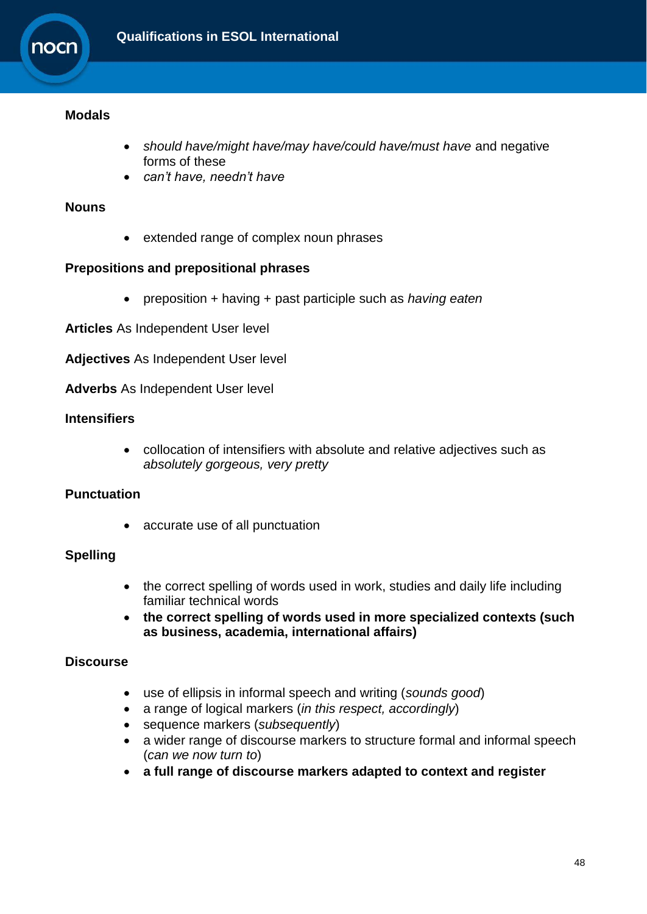

## **Modals**

- *should have/might have/may have/could have/must have* and negative forms of these
- *can't have, needn't have*

## **Nouns**

• extended range of complex noun phrases

## **Prepositions and prepositional phrases**

preposition + having + past participle such as *having eaten*

**Articles** As Independent User level

**Adjectives** As Independent User level

**Adverbs** As Independent User level

## **Intensifiers**

 collocation of intensifiers with absolute and relative adjectives such as *absolutely gorgeous, very pretty*

## **Punctuation**

• accurate use of all punctuation

## **Spelling**

- the correct spelling of words used in work, studies and daily life including familiar technical words
- **the correct spelling of words used in more specialized contexts (such as business, academia, international affairs)**

## **Discourse**

- use of ellipsis in informal speech and writing (*sounds good*)
- a range of logical markers (*in this respect, accordingly*)
- sequence markers (*subsequently*)
- a wider range of discourse markers to structure formal and informal speech (*can we now turn to*)
- **a full range of discourse markers adapted to context and register**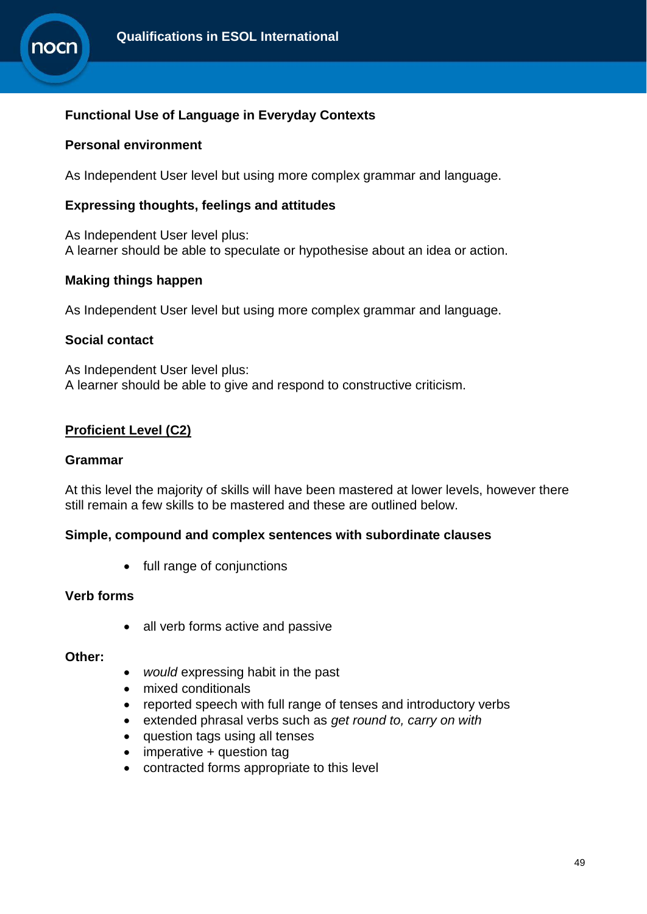

## **Functional Use of Language in Everyday Contexts**

#### **Personal environment**

As Independent User level but using more complex grammar and language.

#### **Expressing thoughts, feelings and attitudes**

As Independent User level plus: A learner should be able to speculate or hypothesise about an idea or action.

#### **Making things happen**

As Independent User level but using more complex grammar and language.

#### **Social contact**

As Independent User level plus: A learner should be able to give and respond to constructive criticism.

## **Proficient Level (C2)**

#### **Grammar**

At this level the majority of skills will have been mastered at lower levels, however there still remain a few skills to be mastered and these are outlined below.

#### **Simple, compound and complex sentences with subordinate clauses**

• full range of conjunctions

#### **Verb forms**

• all verb forms active and passive

#### **Other:**

- *would* expressing habit in the past
- mixed conditionals
- reported speech with full range of tenses and introductory verbs
- extended phrasal verbs such as *get round to, carry on with*
- question tags using all tenses
- imperative + question tag
- contracted forms appropriate to this level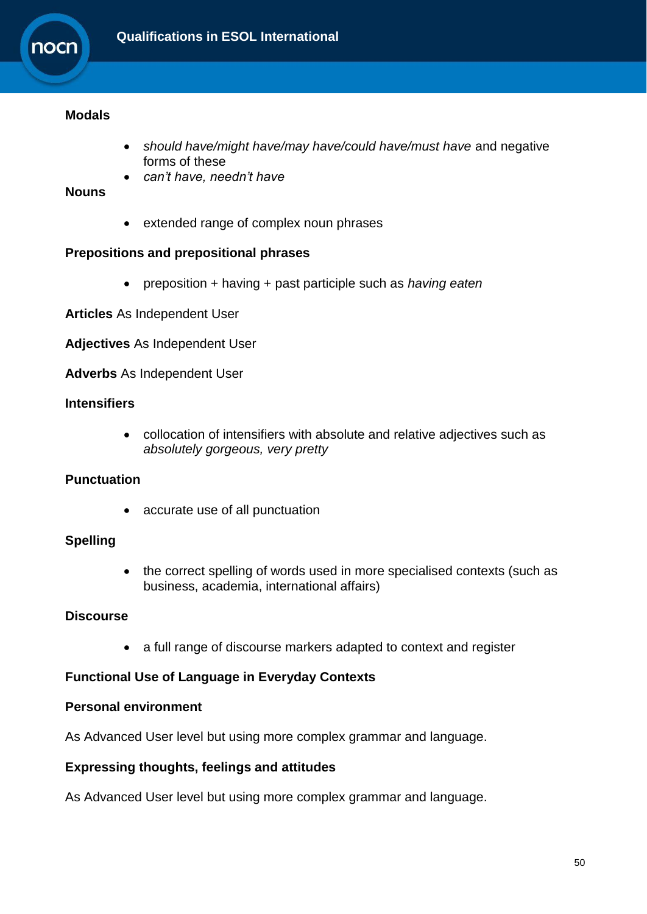

### **Modals**

- *should have/might have/may have/could have/must have* and negative forms of these
- *can't have, needn't have*

#### **Nouns**

extended range of complex noun phrases

#### **Prepositions and prepositional phrases**

preposition + having + past participle such as *having eaten*

**Articles** As Independent User

**Adjectives** As Independent User

**Adverbs** As Independent User

### **Intensifiers**

 collocation of intensifiers with absolute and relative adjectives such as *absolutely gorgeous, very pretty*

## **Punctuation**

• accurate use of all punctuation

## **Spelling**

• the correct spelling of words used in more specialised contexts (such as business, academia, international affairs)

## **Discourse**

• a full range of discourse markers adapted to context and register

## **Functional Use of Language in Everyday Contexts**

### **Personal environment**

As Advanced User level but using more complex grammar and language.

#### **Expressing thoughts, feelings and attitudes**

As Advanced User level but using more complex grammar and language.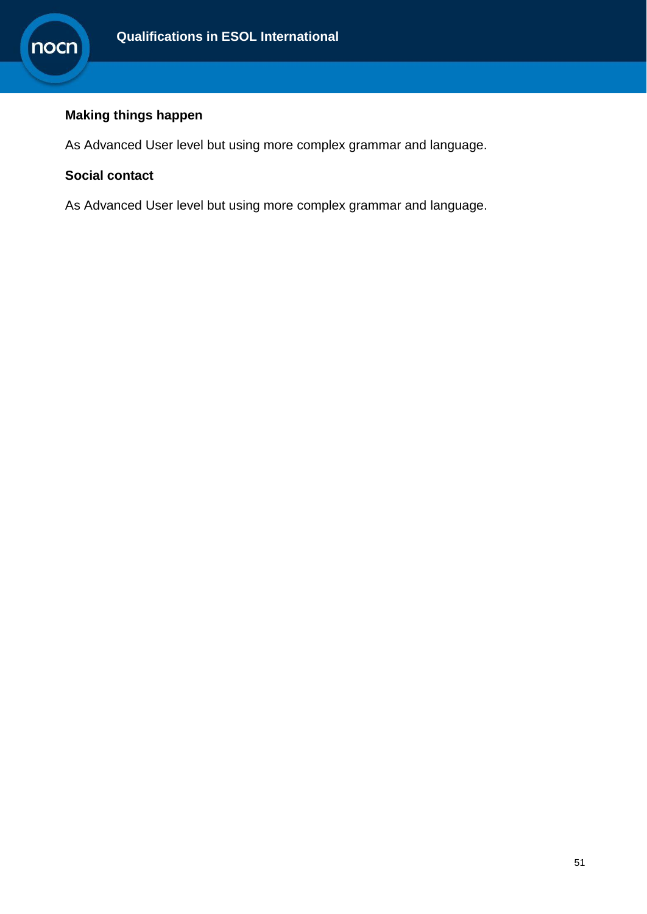

## **Making things happen**

As Advanced User level but using more complex grammar and language.

## **Social contact**

<span id="page-50-0"></span>As Advanced User level but using more complex grammar and language.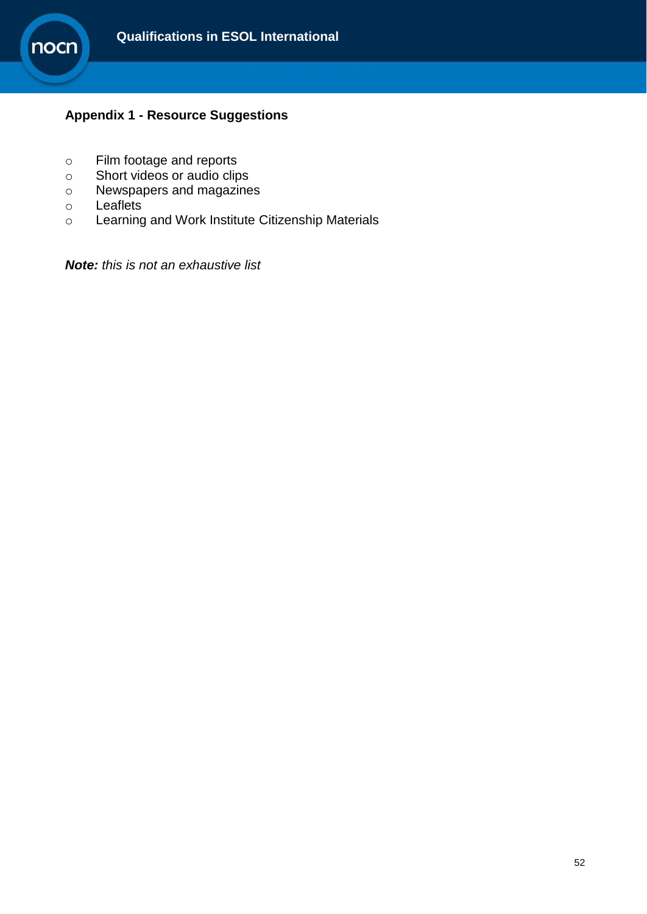

## **Appendix 1 - Resource Suggestions**

- o Film footage and reports
- o Short videos or audio clips
- o Newspapers and magazines
- o Leaflets
- o Learning and Work Institute Citizenship Materials

*Note: this is not an exhaustive list*